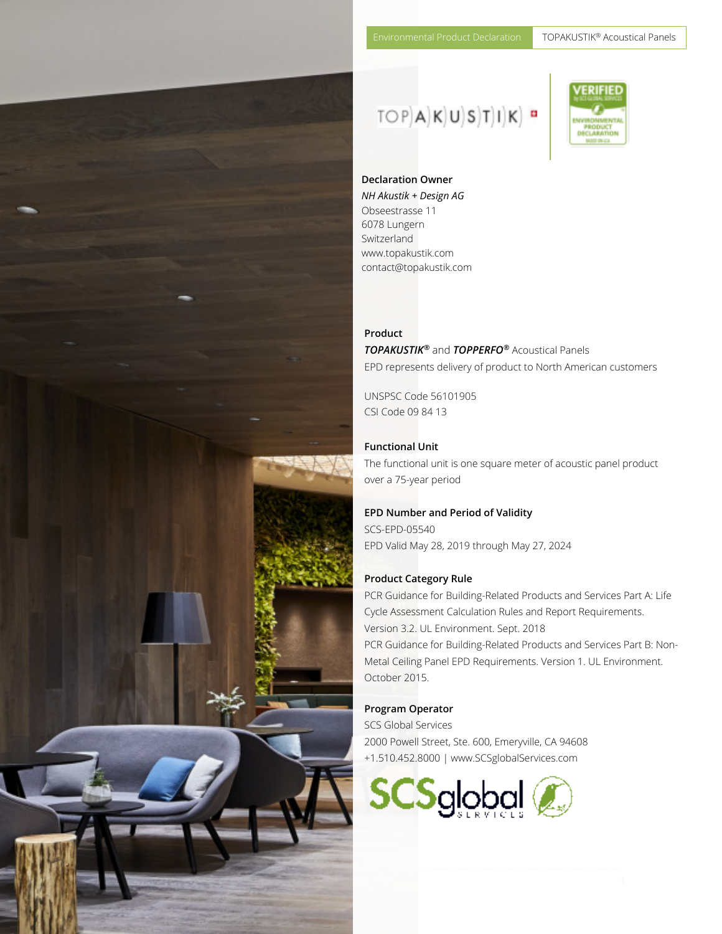## $TOP[A|K]U[S]T|I|K]$  "



**Declaration Owner**  *NH Akustik + Design AG*  Obseestrasse 11 6078 Lungern Switzerland www.topakustik.com contact@topakustik.com

Environmental Product Declaration TOPAKUSTIK® Acoustical Panels

#### **Product**  *TOPAKUSTIK®* and *TOPPERFO®* Acoustical Panels EPD represents delivery of product to North American customers

UNSPSC Code 56101905 CSI Code 09 84 13

#### **Functional Unit**

The functional unit is one square meter of acoustic panel product over a 75-year period

#### **EPD Number and Period of Validity**

SCS-EPD-05540 EPD Valid May 28, 2019 through May 27, 2024

#### **Product Category Rule**

PCR Guidance for Building-Related Products and Services Part A: Life Cycle Assessment Calculation Rules and Report Requirements. Version 3.2. UL Environment. Sept. 2018 PCR Guidance for Building-Related Products and Services Part B: Non-Metal Ceiling Panel EPD Requirements. Version 1. UL Environment. October 2015.

#### **Program Operator**

………………………………………………………………………………………………..…………………………………………………………………………………………………………………

SCS Global Services 2000 Powell Street, Ste. 600, Emeryville, CA 94608 +1.510.452.8000 | www.SCSglobalServices.com



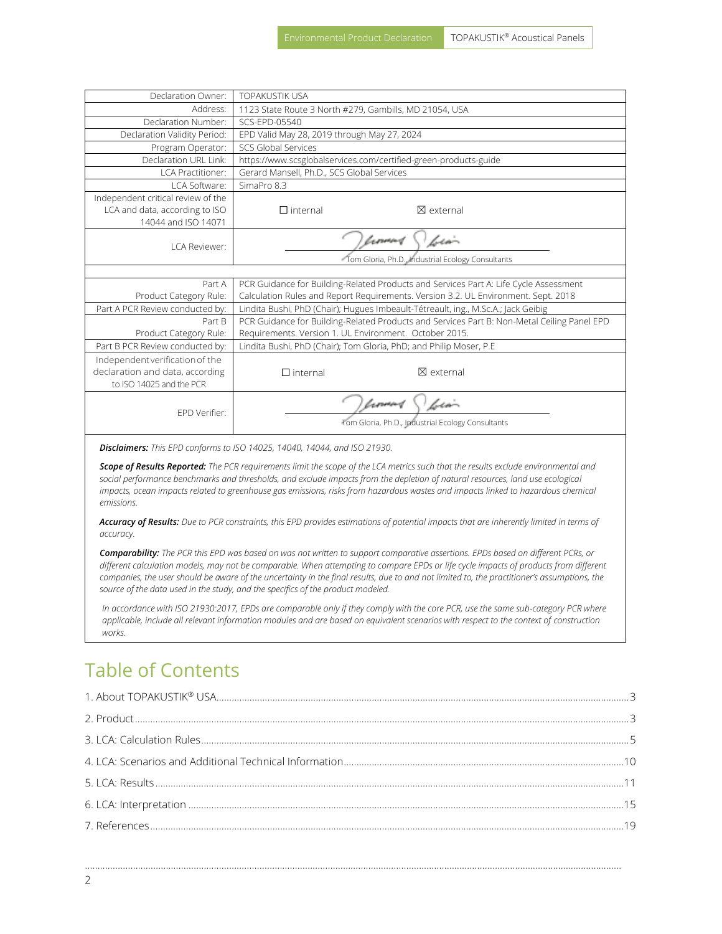| Declaration Owner:                                                                          | <b>TOPAKUSTIK USA</b>                                                                       |  |  |
|---------------------------------------------------------------------------------------------|---------------------------------------------------------------------------------------------|--|--|
| Address:                                                                                    | 1123 State Route 3 North #279, Gambills, MD 21054, USA                                      |  |  |
| Declaration Number:                                                                         | SCS-FPD-05540                                                                               |  |  |
| Declaration Validity Period:                                                                | EPD Valid May 28, 2019 through May 27, 2024                                                 |  |  |
| Program Operator:                                                                           | SCS Global Services                                                                         |  |  |
| Declaration URL Link:                                                                       | https://www.scsglobalservices.com/certified-green-products-guide                            |  |  |
| <b>LCA Practitioner:</b>                                                                    | Gerard Mansell, Ph.D., SCS Global Services                                                  |  |  |
| LCA Software:                                                                               | SimaPro 8.3                                                                                 |  |  |
| Independent critical review of the<br>LCA and data, according to ISO<br>14044 and ISO 14071 | $\Box$ internal<br>$\boxtimes$ external                                                     |  |  |
| I CA Reviewer:                                                                              | Lio-<br>tromas<br>Tom Gloria, Ph.D., Industrial Ecology Consultants                         |  |  |
|                                                                                             |                                                                                             |  |  |
| Part A                                                                                      | PCR Guidance for Building-Related Products and Services Part A: Life Cycle Assessment       |  |  |
| Product Category Rule:                                                                      | Calculation Rules and Report Requirements. Version 3.2. UL Environment. Sept. 2018          |  |  |
| Part A PCR Review conducted by:                                                             | Lindita Bushi, PhD (Chair); Hugues Imbeault-Tétreault, ing., M.Sc.A.; Jack Geibig           |  |  |
| Part B                                                                                      | PCR Guidance for Building-Related Products and Services Part B: Non-Metal Ceiling Panel EPD |  |  |
| Product Category Rule:                                                                      | Requirements. Version 1. UL Environment. October 2015.                                      |  |  |
| Part B PCR Review conducted by:                                                             | Lindita Bushi, PhD (Chair); Tom Gloria, PhD; and Philip Moser, P.E                          |  |  |
| Independent verification of the                                                             |                                                                                             |  |  |
| declaration and data, according                                                             | $\boxtimes$ external<br>$\Box$ internal                                                     |  |  |
| to ISO 14025 and the PCR                                                                    |                                                                                             |  |  |
| FPD Verifier:                                                                               | lərin<br>lemmet<br>Tom Gloria, Ph.D., Industrial Ecology Consultants                        |  |  |

*Disclaimers: This EPD conforms to ISO 14025, 14040, 14044, and ISO 21930.* 

*Scope of Results Reported: The PCR requirements limit the scope of the LCA metrics such that the results exclude environmental and social performance benchmarks and thresholds, and exclude impacts from the depletion of natural resources, land use ecological impacts, ocean impacts related to greenhouse gas emissions, risks from hazardous wastes and impacts linked to hazardous chemical emissions.* 

*Accuracy of Results: Due to PCR constraints, this EPD provides estimations of potential impacts that are inherently limited in terms of accuracy.* 

*Comparability: The PCR this EPD was based on was not written to support comparative assertions. EPDs based on different PCRs, or different calculation models, may not be comparable. When attempting to compare EPDs or life cycle impacts of products from different companies, the user should be aware of the uncertainty in the final results, due to and not limited to, the practitioner's assumptions, the source of the data used in the study, and the specifics of the product modeled.* 

*In accordance with ISO 21930:2017, EPDs are comparable only if they comply with the core PCR, use the same sub-category PCR where applicable, include all relevant information modules and are based on equivalent scenarios with respect to the context of construction works.*

### Table of Contents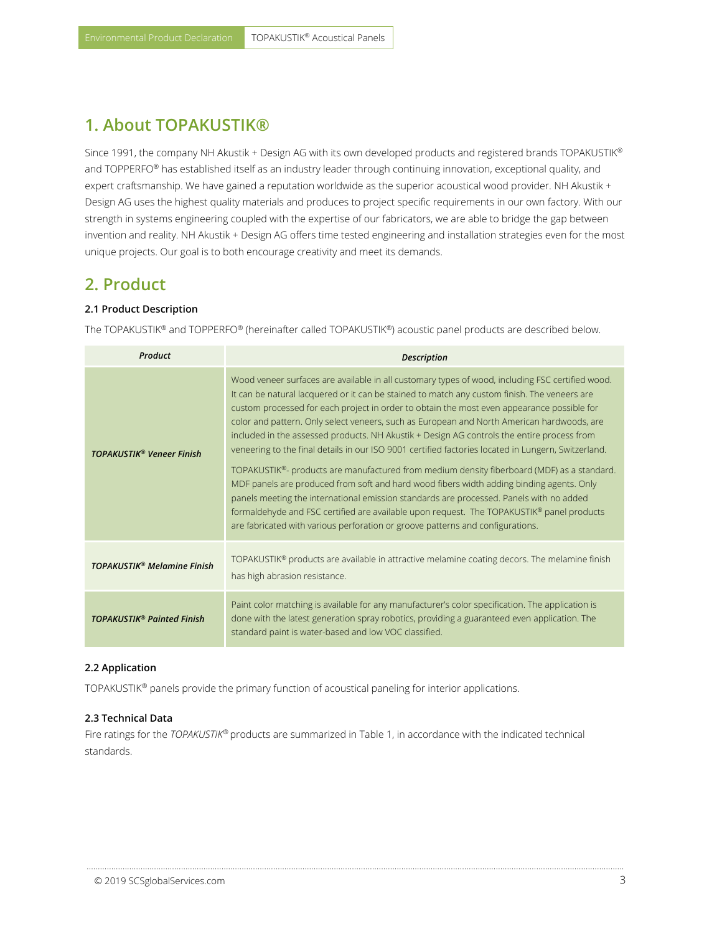### <span id="page-2-0"></span>**1. About TOPAKUSTIK®**

Since 1991, the company NH Akustik + Design AG with its own developed products and registered brands TOPAKUSTIK® and TOPPERFO® has established itself as an industry leader through continuing innovation, exceptional quality, and expert craftsmanship. We have gained a reputation worldwide as the superior acoustical wood provider. NH Akustik + Design AG uses the highest quality materials and produces to project specific requirements in our own factory. With our strength in systems engineering coupled with the expertise of our fabricators, we are able to bridge the gap between invention and reality. NH Akustik + Design AG offers time tested engineering and installation strategies even for the most unique projects. Our goal is to both encourage creativity and meet its demands.

### <span id="page-2-1"></span>**2. Product**

#### **2.1 Product Description**

The TOPAKUSTIK® and TOPPERFO® (hereinafter called TOPAKUSTIK®) acoustic panel products are described below.

| Product                                       | <b>Description</b>                                                                                                                                                                                                                                                                                                                                                                                                                                                                                                                                                                                                                                                                                                                                                                                                                                                                                                                                                                                                                                                    |  |  |
|-----------------------------------------------|-----------------------------------------------------------------------------------------------------------------------------------------------------------------------------------------------------------------------------------------------------------------------------------------------------------------------------------------------------------------------------------------------------------------------------------------------------------------------------------------------------------------------------------------------------------------------------------------------------------------------------------------------------------------------------------------------------------------------------------------------------------------------------------------------------------------------------------------------------------------------------------------------------------------------------------------------------------------------------------------------------------------------------------------------------------------------|--|--|
| <b>TOPAKUSTIK® Veneer Finish</b>              | Wood veneer surfaces are available in all customary types of wood, including FSC certified wood.<br>It can be natural lacquered or it can be stained to match any custom finish. The veneers are<br>custom processed for each project in order to obtain the most even appearance possible for<br>color and pattern. Only select veneers, such as European and North American hardwoods, are<br>included in the assessed products. NH Akustik + Design AG controls the entire process from<br>veneering to the final details in our ISO 9001 certified factories located in Lungern, Switzerland.<br>TOPAKUSTIK®- products are manufactured from medium density fiberboard (MDF) as a standard.<br>MDF panels are produced from soft and hard wood fibers width adding binding agents. Only<br>panels meeting the international emission standards are processed. Panels with no added<br>formaldehyde and FSC certified are available upon request. The TOPAKUSTIK® panel products<br>are fabricated with various perforation or groove patterns and configurations. |  |  |
| <b>TOPAKUSTIK<sup>®</sup> Melamine Finish</b> | TOPAKUSTIK <sup>®</sup> products are available in attractive melamine coating decors. The melamine finish<br>has high abrasion resistance.                                                                                                                                                                                                                                                                                                                                                                                                                                                                                                                                                                                                                                                                                                                                                                                                                                                                                                                            |  |  |
| <b>TOPAKUSTIK® Painted Finish</b>             | Paint color matching is available for any manufacturer's color specification. The application is<br>done with the latest generation spray robotics, providing a guaranteed even application. The<br>standard paint is water-based and low VOC classified.                                                                                                                                                                                                                                                                                                                                                                                                                                                                                                                                                                                                                                                                                                                                                                                                             |  |  |

#### **2.2 Application**

TOPAKUSTIK® panels provide the primary function of acoustical paneling for interior applications.

#### **2.3 Technical Data**

Fire ratings for the *TOPAKUSTIK®* products are summarized in Table 1, in accordance with the indicated technical standards.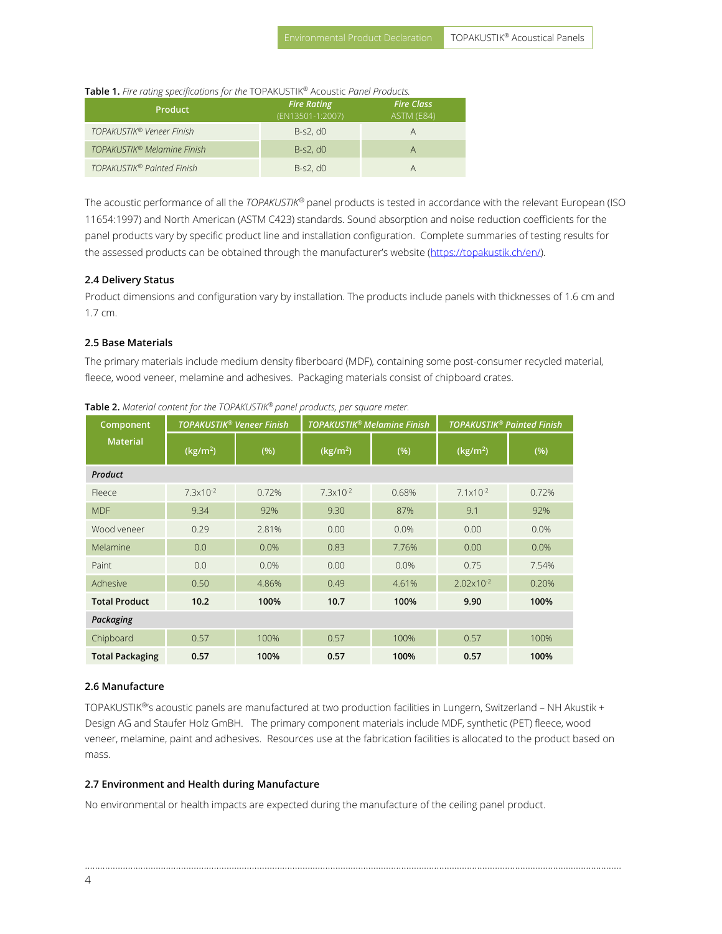**Table 1.** *Fire rating specifications for the* TOPAKUSTIK® Acoustic *Panel Products.*

| <b>Product</b>                          | <b>Fire Rating</b><br>(EN13501-1:2007) | <b>Fire Class</b><br>ASTM (E84) |
|-----------------------------------------|----------------------------------------|---------------------------------|
| TOPAKUSTIK® Veneer Finish               | $B-S2. d0$                             | Α                               |
| TOPAKUSTIK <sup>®</sup> Melamine Finish | $B-S2. d0$                             | Α                               |
| TOPAKUSTIK® Painted Finish              | $B-S2. d0$                             | А                               |

The acoustic performance of all the *TOPAKUSTIK®* panel products is tested in accordance with the relevant European (ISO 11654:1997) and North American (ASTM C423) standards. Sound absorption and noise reduction coefficients for the panel products vary by specific product line and installation configuration. Complete summaries of testing results for the assessed products can be obtained through the manufacturer's website ([https://topakustik.ch/en/\).](https://topakustik.ch/en/)

#### **2.4 Delivery Status**

Product dimensions and configuration vary by installation. The products include panels with thicknesses of 1.6 cm and 1.7 cm.

#### **2.5 Base Materials**

The primary materials include medium density fiberboard (MDF), containing some post-consumer recycled material, fleece, wood veneer, melamine and adhesives. Packaging materials consist of chipboard crates.

| Component              | <b>TOPAKUSTIK® Veneer Finish</b> |       | <b>TOPAKUSTIK® Melamine Finish</b> |       | <b>TOPAKUSTIK® Painted Finish</b> |       |
|------------------------|----------------------------------|-------|------------------------------------|-------|-----------------------------------|-------|
| <b>Material</b>        | (kg/m <sup>2</sup> )             | (%)   | (kg/m <sup>2</sup> )               | (%)   | (kg/m <sup>2</sup> )              | (%)   |
| Product                |                                  |       |                                    |       |                                   |       |
| Fleece                 | $7.3x10^{-2}$                    | 0.72% | $7.3x10^{-2}$                      | 0.68% | $7.1 \times 10^{-2}$              | 0.72% |
| <b>MDF</b>             | 9.34                             | 92%   | 9.30                               | 87%   | 9.1                               | 92%   |
| Wood veneer            | 0.29                             | 2.81% | 0.00                               | 0.0%  | 0.00                              | 0.0%  |
| Melamine               | 0.0                              | 0.0%  | 0.83                               | 7.76% | 0.00                              | 0.0%  |
| Paint                  | 0.0                              | 0.0%  | 0.00                               | 0.0%  | 0.75                              | 7.54% |
| Adhesive               | 0.50                             | 4.86% | 0.49                               | 4.61% | $2.02 \times 10^{-2}$             | 0.20% |
| <b>Total Product</b>   | 10.2                             | 100%  | 10.7                               | 100%  | 9.90                              | 100%  |
| Packaging              |                                  |       |                                    |       |                                   |       |
| Chipboard              | 0.57                             | 100%  | 0.57                               | 100%  | 0.57                              | 100%  |
| <b>Total Packaging</b> | 0.57                             | 100%  | 0.57                               | 100%  | 0.57                              | 100%  |

**Table 2.** *Material content for the TOPAKUSTIK® panel products, per square meter.* 

#### **2.6 Manufacture**

TOPAKUSTIK®'s acoustic panels are manufactured at two production facilities in Lungern, Switzerland – NH Akustik + Design AG and Staufer Holz GmBH. The primary component materials include MDF, synthetic (PET) fleece, wood veneer, melamine, paint and adhesives. Resources use at the fabrication facilities is allocated to the product based on mass.

………………………………………………………………………………………………..…………………………………………………………………………………………

#### **2.7 Environment and Health during Manufacture**

No environmental or health impacts are expected during the manufacture of the ceiling panel product.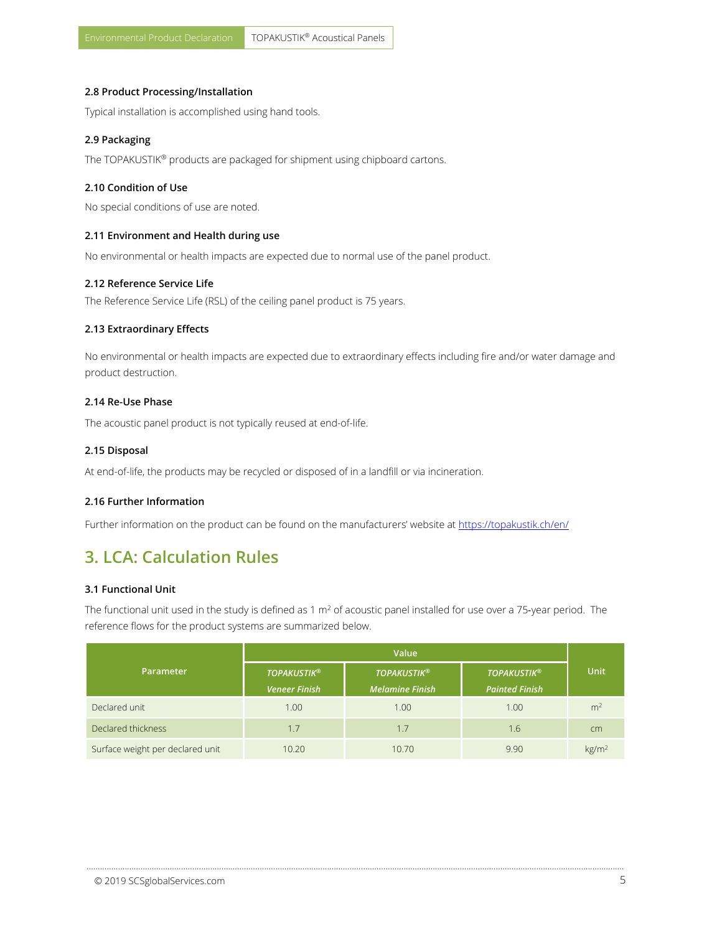#### **2.8 Product Processing/Installation**

Typical installation is accomplished using hand tools.

#### **2.9 Packaging**

The TOPAKUSTIK® products are packaged for shipment using chipboard cartons.

#### **2.10 Condition of Use**

No special conditions of use are noted.

#### **2.11 Environment and Health during use**

No environmental or health impacts are expected due to normal use of the panel product.

#### **2.12 Reference Service Life**

The Reference Service Life (RSL) of the ceiling panel product is 75 years.

#### **2.13 Extraordinary Effects**

No environmental or health impacts are expected due to extraordinary effects including fire and/or water damage and product destruction.

#### **2.14 Re-Use Phase**

The acoustic panel product is not typically reused at end-of-life.

#### **2.15 Disposal**

At end-of-life, the products may be recycled or disposed of in a landfill or via incineration.

#### **2.16 Further Information**

Further information on the product can be found on the manufacturers' website at https://topakustik.ch/en/

### <span id="page-4-0"></span>**3. LCA: Calculation Rules**

#### **3.1 Functional Unit**

The functional unit used in the study is defined as 1 m<sup>2</sup> of acoustic panel installed for use over a 75-year period. The reference flows for the product systems are summarized below.

|                                  | Value                |                        |                       |                   |
|----------------------------------|----------------------|------------------------|-----------------------|-------------------|
| Parameter                        | <b>TOPAKUSTIK®</b>   | <b>TOPAKUSTIK®</b>     | <b>TOPAKUSTIK®</b>    | <b>Unit</b>       |
|                                  | <b>Veneer Finish</b> | <b>Melamine Finish</b> | <b>Painted Finish</b> |                   |
| Declared unit                    | 1.00                 | 1.00                   | 1.00                  | m <sup>2</sup>    |
| Declared thickness               | 1.7                  | 1.7                    | 1.6                   | cm                |
| Surface weight per declared unit | 10.20                | 10.70                  | 9.90                  | kg/m <sup>2</sup> |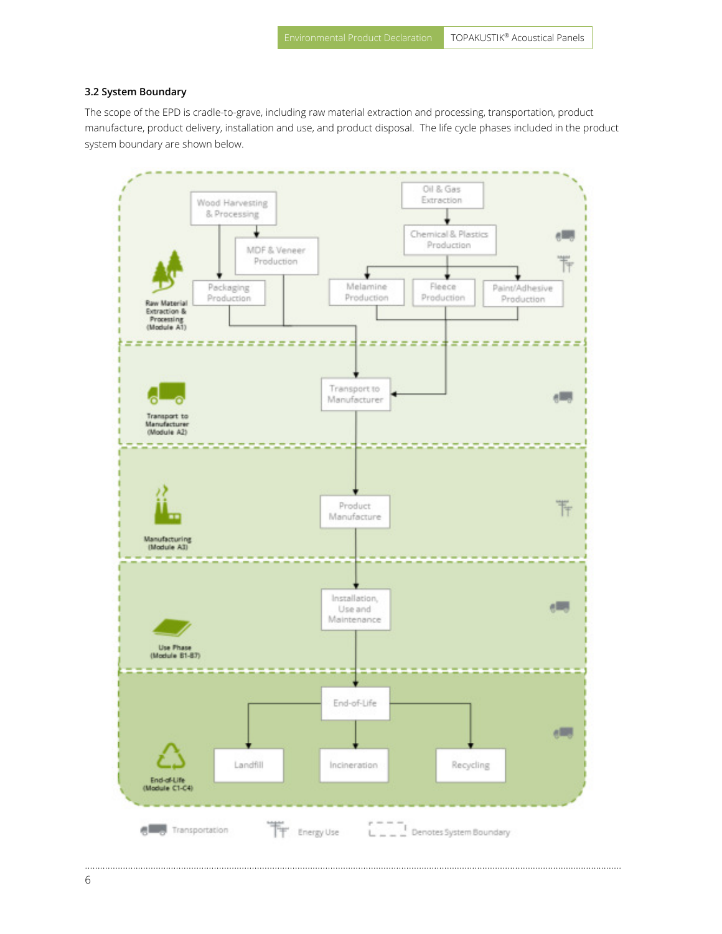#### **3.2 System Boundary**

The scope of the EPD is cradle-to-grave, including raw material extraction and processing, transportation, product manufacture, product delivery, installation and use, and product disposal. The life cycle phases included in the product system boundary are shown below.

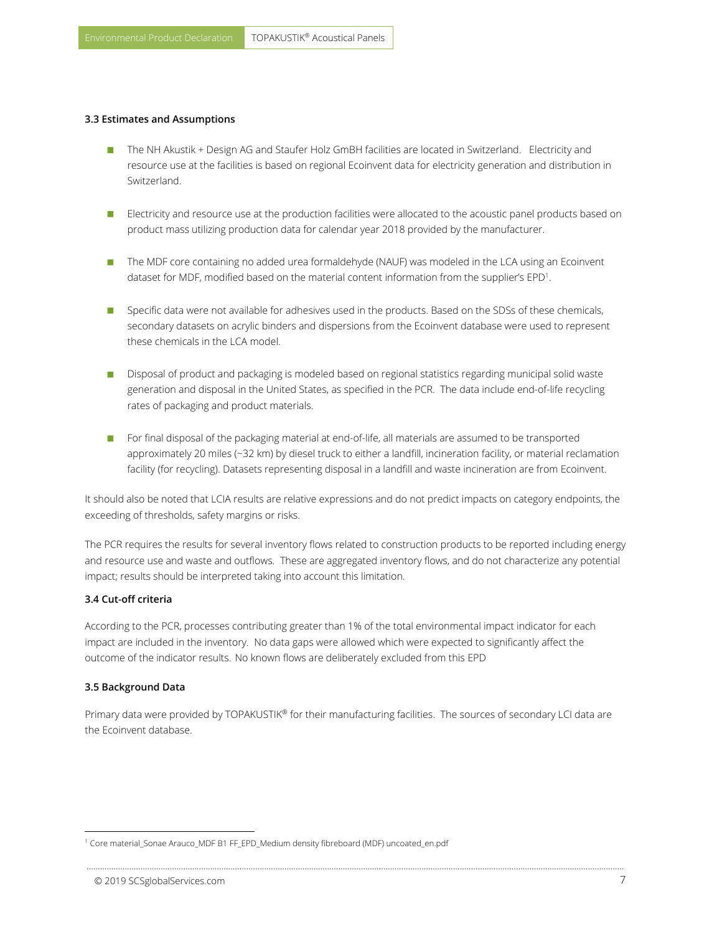- The NH Akustik + Design AG and Staufer Holz GmBH facilities are located in Switzerland. Electricity and resource use at the facilities is based on regional Ecoinvent data for electricity generation and distribution in Switzerland.
- **E** Electricity and resource use at the production facilities were allocated to the acoustic panel products based on product mass utilizing production data for calendar year 2018 provided by the manufacturer.
- The MDF core containing no added urea formaldehyde (NAUF) was modeled in the LCA using an Ecoinvent dataset for MDF, modified based on the material content information from the supplier's EPD<sup>1</sup>.
- **Specific data were not available for adhesives used in the products. Based on the SDSs of these chemicals,** secondary datasets on acrylic binders and dispersions from the Ecoinvent database were used to represent these chemicals in the LCA model.
- Disposal of product and packaging is modeled based on regional statistics regarding municipal solid waste generation and disposal in the United States, as specified in the PCR. The data include end-of-life recycling rates of packaging and product materials.
- **For final disposal of the packaging material at end-of-life, all materials are assumed to be transported** approximately 20 miles (~32 km) by diesel truck to either a landfill, incineration facility, or material reclamation facility (for recycling). Datasets representing disposal in a landfill and waste incineration are from Ecoinvent.

It should also be noted that LCIA results are relative expressions and do not predict impacts on category endpoints, the exceeding of thresholds, safety margins or risks.

The PCR requires the results for several inventory flows related to construction products to be reported including energy and resource use and waste and outflows. These are aggregated inventory flows, and do not characterize any potential impact; results should be interpreted taking into account this limitation.

#### **3.4 Cut-off criteria**

According to the PCR, processes contributing greater than 1% of the total environmental impact indicator for each impact are included in the inventory. No data gaps were allowed which were expected to significantly affect the outcome of the indicator results. No known flows are deliberately excluded from this EPD

#### **3.5 Background Data**

l

Primary data were provided by TOPAKUSTIK® for their manufacturing facilities. The sources of secondary LCI data are the Ecoinvent database.

<sup>1</sup> Core material\_Sonae Arauco\_MDF B1 FF\_EPD\_Medium density fibreboard (MDF) uncoated\_en.pdf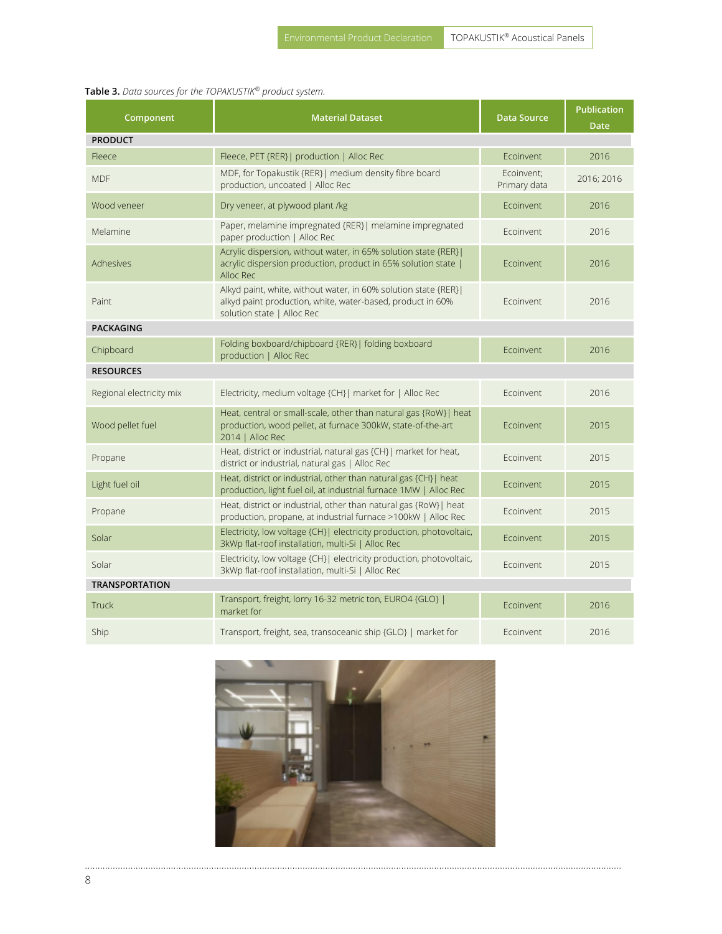|  | Table 3. Data sources for the TOPAKUSTIK® product system. |
|--|-----------------------------------------------------------|
|--|-----------------------------------------------------------|

| Component                | <b>Material Dataset</b>                                                                                                                                     | <b>Data Source</b>         | <b>Publication</b><br><b>Date</b> |  |
|--------------------------|-------------------------------------------------------------------------------------------------------------------------------------------------------------|----------------------------|-----------------------------------|--|
| <b>PRODUCT</b>           |                                                                                                                                                             |                            |                                   |  |
| Fleece                   | Fleece, PET {RER}  production   Alloc Rec                                                                                                                   | Ecoinvent                  | 2016                              |  |
| <b>MDF</b>               | MDF, for Topakustik {RER}  medium density fibre board<br>production, uncoated   Alloc Rec                                                                   | Ecoinvent:<br>Primary data | 2016; 2016                        |  |
| Wood veneer              | Dry veneer, at plywood plant /kg                                                                                                                            | Ecoinvent                  | 2016                              |  |
| Melamine                 | Paper, melamine impregnated {RER}  melamine impregnated<br>paper production   Alloc Rec                                                                     | Froinvent                  | 2016                              |  |
| Adhesives                | Acrylic dispersion, without water, in 65% solution state {RER} <br>acrylic dispersion production, product in 65% solution state  <br>Alloc Rec              | Ecoinvent                  | 2016                              |  |
| Paint                    | Alkyd paint, white, without water, in 60% solution state {RER} <br>alkyd paint production, white, water-based, product in 60%<br>solution state   Alloc Rec | Ecoinvent                  | 2016                              |  |
| <b>PACKAGING</b>         |                                                                                                                                                             |                            |                                   |  |
| Chipboard                | Folding boxboard/chipboard {RER}  folding boxboard<br>production   Alloc Rec                                                                                | Ecoinvent                  | 2016                              |  |
| <b>RESOURCES</b>         |                                                                                                                                                             |                            |                                   |  |
| Regional electricity mix | Electricity, medium voltage {CH}  market for   Alloc Rec                                                                                                    | Ecoinvent                  | 2016                              |  |
| Wood pellet fuel         | Heat, central or small-scale, other than natural gas {RoW}  heat<br>production, wood pellet, at furnace 300kW, state-of-the-art<br>2014   Alloc Rec         | Ecoinvent                  | 2015                              |  |
| Propane                  | Heat, district or industrial, natural gas {CH}  market for heat,<br>district or industrial, natural gas   Alloc Rec                                         | Ecoinvent                  | 2015                              |  |
| Light fuel oil           | Heat, district or industrial, other than natural gas {CH}  heat<br>production, light fuel oil, at industrial furnace 1MW   Alloc Rec                        | Ecoinvent                  | 2015                              |  |
| Propane                  | Heat, district or industrial, other than natural gas {RoW}  heat<br>production, propane, at industrial furnace >100kW   Alloc Rec                           | Ecoinvent                  | 2015                              |  |
| Solar                    | Electricity, low voltage {CH}  electricity production, photovoltaic,<br>3kWp flat-roof installation, multi-Si   Alloc Rec                                   | Ecoinvent                  | 2015                              |  |
| Solar                    | Electricity, low voltage {CH}   electricity production, photovoltaic,<br>3kWp flat-roof installation, multi-Si   Alloc Rec                                  | Ecoinvent                  | 2015                              |  |
| <b>TRANSPORTATION</b>    |                                                                                                                                                             |                            |                                   |  |
| <b>Truck</b>             | Transport, freight, lorry 16-32 metric ton, EURO4 {GLO}  <br>market for                                                                                     | Ecoinvent                  | 2016                              |  |
| <b>Ship</b>              | Transport, freight, sea, transoceanic ship {GLO}   market for                                                                                               | Ecoinvent                  | 2016                              |  |

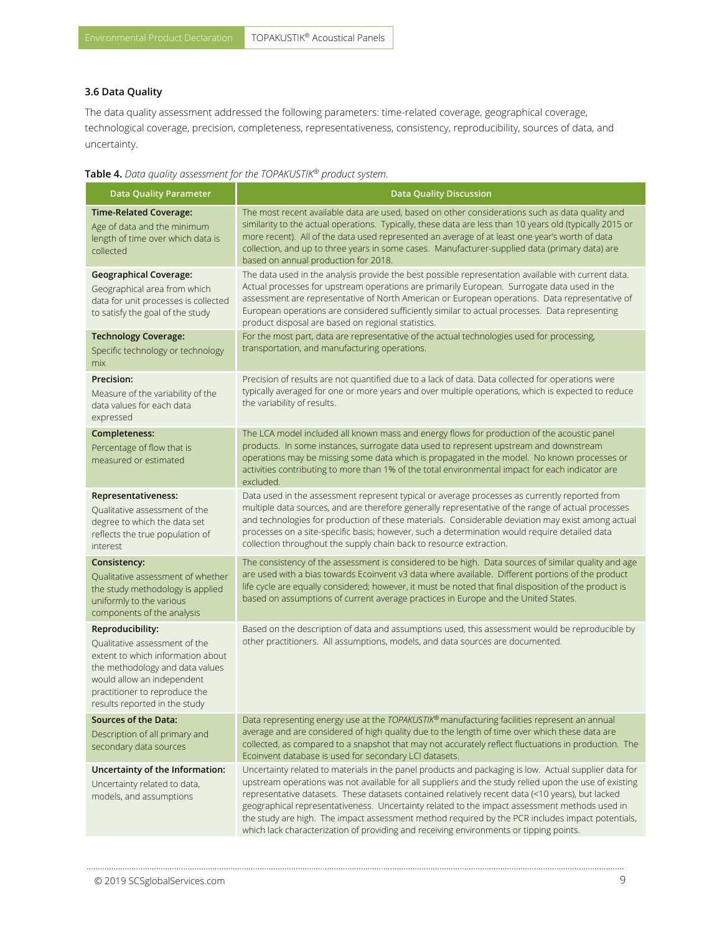#### **3.6 Data Quality**

The data quality assessment addressed the following parameters: time-related coverage, geographical coverage, technological coverage, precision, completeness, representativeness, consistency, reproducibility, sources of data, and uncertainty.

| Table 4. Data quality assessment for the TOPAKUSTIK® product system. |  |  |  |
|----------------------------------------------------------------------|--|--|--|
|----------------------------------------------------------------------|--|--|--|

| <b>Data Quality Parameter</b>                                                                                                                                                                                             | <b>Data Quality Discussion</b>                                                                                                                                                                                                                                                                                                                                                                                                                                                                           |  |  |
|---------------------------------------------------------------------------------------------------------------------------------------------------------------------------------------------------------------------------|----------------------------------------------------------------------------------------------------------------------------------------------------------------------------------------------------------------------------------------------------------------------------------------------------------------------------------------------------------------------------------------------------------------------------------------------------------------------------------------------------------|--|--|
| <b>Time-Related Coverage:</b><br>Age of data and the minimum<br>length of time over which data is<br>collected                                                                                                            | The most recent available data are used, based on other considerations such as data quality and<br>similarity to the actual operations. Typically, these data are less than 10 years old (typically 2015 or<br>more recent). All of the data used represented an average of at least one year's worth of data<br>collection, and up to three years in some cases. Manufacturer-supplied data (primary data) are<br>based on annual production for 2018.                                                  |  |  |
| <b>Geographical Coverage:</b><br>Geographical area from which<br>data for unit processes is collected<br>to satisfy the goal of the study                                                                                 | The data used in the analysis provide the best possible representation available with current data.<br>Actual processes for upstream operations are primarily European. Surrogate data used in the<br>assessment are representative of North American or European operations. Data representative of<br>European operations are considered sufficiently similar to actual processes. Data representing<br>product disposal are based on regional statistics.                                             |  |  |
| <b>Technology Coverage:</b>                                                                                                                                                                                               | For the most part, data are representative of the actual technologies used for processing,<br>transportation, and manufacturing operations.                                                                                                                                                                                                                                                                                                                                                              |  |  |
| Specific technology or technology<br>mix                                                                                                                                                                                  |                                                                                                                                                                                                                                                                                                                                                                                                                                                                                                          |  |  |
| Precision:<br>Measure of the variability of the<br>data values for each data<br>expressed                                                                                                                                 | Precision of results are not quantified due to a lack of data. Data collected for operations were<br>typically averaged for one or more years and over multiple operations, which is expected to reduce<br>the variability of results.                                                                                                                                                                                                                                                                   |  |  |
| Completeness:                                                                                                                                                                                                             | The LCA model included all known mass and energy flows for production of the acoustic panel                                                                                                                                                                                                                                                                                                                                                                                                              |  |  |
| Percentage of flow that is<br>measured or estimated                                                                                                                                                                       | products. In some instances, surrogate data used to represent upstream and downstream<br>operations may be missing some data which is propagated in the model. No known processes or<br>activities contributing to more than 1% of the total environmental impact for each indicator are<br>excluded.                                                                                                                                                                                                    |  |  |
| Representativeness:<br>Qualitative assessment of the<br>degree to which the data set<br>reflects the true population of<br>interest                                                                                       | Data used in the assessment represent typical or average processes as currently reported from<br>multiple data sources, and are therefore generally representative of the range of actual processes<br>and technologies for production of these materials. Considerable deviation may exist among actual<br>processes on a site-specific basis; however, such a determination would require detailed data<br>collection throughout the supply chain back to resource extraction.                         |  |  |
| Consistency:                                                                                                                                                                                                              | The consistency of the assessment is considered to be high. Data sources of similar quality and age                                                                                                                                                                                                                                                                                                                                                                                                      |  |  |
| Qualitative assessment of whether<br>the study methodology is applied<br>uniformly to the various<br>components of the analysis                                                                                           | are used with a bias towards Ecoinvent v3 data where available. Different portions of the product<br>life cycle are equally considered; however, it must be noted that final disposition of the product is<br>based on assumptions of current average practices in Europe and the United States.                                                                                                                                                                                                         |  |  |
| Reproducibility:<br>Qualitative assessment of the<br>extent to which information about<br>the methodology and data values<br>would allow an independent<br>practitioner to reproduce the<br>results reported in the study | Based on the description of data and assumptions used, this assessment would be reproducible by<br>other practitioners. All assumptions, models, and data sources are documented.                                                                                                                                                                                                                                                                                                                        |  |  |
| Sources of the Data:                                                                                                                                                                                                      | Data representing energy use at the TOPAKUSTIK® manufacturing facilities represent an annual                                                                                                                                                                                                                                                                                                                                                                                                             |  |  |
| Description of all primary and<br>secondary data sources                                                                                                                                                                  | average and are considered of high quality due to the length of time over which these data are<br>collected, as compared to a snapshot that may not accurately reflect fluctuations in production. The<br>Ecoinvent database is used for secondary LCI datasets.                                                                                                                                                                                                                                         |  |  |
| Uncertainty of the Information:                                                                                                                                                                                           | Uncertainty related to materials in the panel products and packaging is low. Actual supplier data for                                                                                                                                                                                                                                                                                                                                                                                                    |  |  |
| Uncertainty related to data,<br>models, and assumptions                                                                                                                                                                   | upstream operations was not available for all suppliers and the study relied upon the use of existing<br>representative datasets. These datasets contained relatively recent data (<10 years), but lacked<br>geographical representativeness. Uncertainty related to the impact assessment methods used in<br>the study are high. The impact assessment method required by the PCR includes impact potentials,<br>which lack characterization of providing and receiving environments or tipping points. |  |  |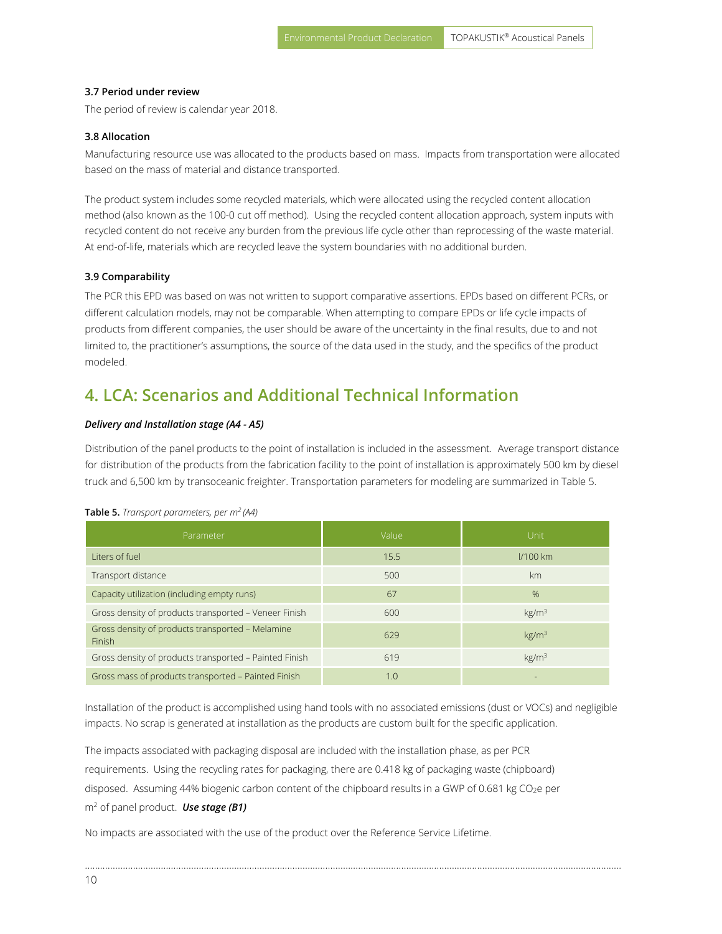#### **3.7 Period under review**

The period of review is calendar year 2018.

#### **3.8 Allocation**

Manufacturing resource use was allocated to the products based on mass. Impacts from transportation were allocated based on the mass of material and distance transported.

The product system includes some recycled materials, which were allocated using the recycled content allocation method (also known as the 100-0 cut off method). Using the recycled content allocation approach, system inputs with recycled content do not receive any burden from the previous life cycle other than reprocessing of the waste material. At end-of-life, materials which are recycled leave the system boundaries with no additional burden.

#### **3.9 Comparability**

The PCR this EPD was based on was not written to support comparative assertions. EPDs based on different PCRs, or different calculation models, may not be comparable. When attempting to compare EPDs or life cycle impacts of products from different companies, the user should be aware of the uncertainty in the final results, due to and not limited to, the practitioner's assumptions, the source of the data used in the study, and the specifics of the product modeled.

### <span id="page-9-0"></span>**4. LCA: Scenarios and Additional Technical Information**

#### *Delivery and Installation stage (A4 - A5)*

Distribution of the panel products to the point of installation is included in the assessment. Average transport distance for distribution of the products from the fabrication facility to the point of installation is approximately 500 km by diesel truck and 6,500 km by transoceanic freighter. Transportation parameters for modeling are summarized in Table 5.

| Parameter                                                  | Value | Unit              |
|------------------------------------------------------------|-------|-------------------|
| Liters of fuel                                             | 15.5  | $1/100$ km        |
| Transport distance                                         | 500   | km                |
| Capacity utilization (including empty runs)                | 67    | $\%$              |
| Gross density of products transported - Veneer Finish      | 600   | kg/m <sup>3</sup> |
| Gross density of products transported - Melamine<br>Finish | 629   | kg/m <sup>3</sup> |
| Gross density of products transported - Painted Finish     | 619   | kg/m <sup>3</sup> |
| Gross mass of products transported - Painted Finish        | 1.0   |                   |

#### **Table 5.** *Transport parameters, per m<sup>2</sup>(A4)*

Installation of the product is accomplished using hand tools with no associated emissions (dust or VOCs) and negligible impacts. No scrap is generated at installation as the products are custom built for the specific application.

………………………………………………………………………………………………..…………………………………………………………………………………………

The impacts associated with packaging disposal are included with the installation phase, as per PCR requirements. Using the recycling rates for packaging, there are 0.418 kg of packaging waste (chipboard) disposed. Assuming 44% biogenic carbon content of the chipboard results in a GWP of 0.681 kg CO<sub>2</sub>e per m<sup>2</sup> of panel product. *Use stage (B1)* 

No impacts are associated with the use of the product over the Reference Service Lifetime.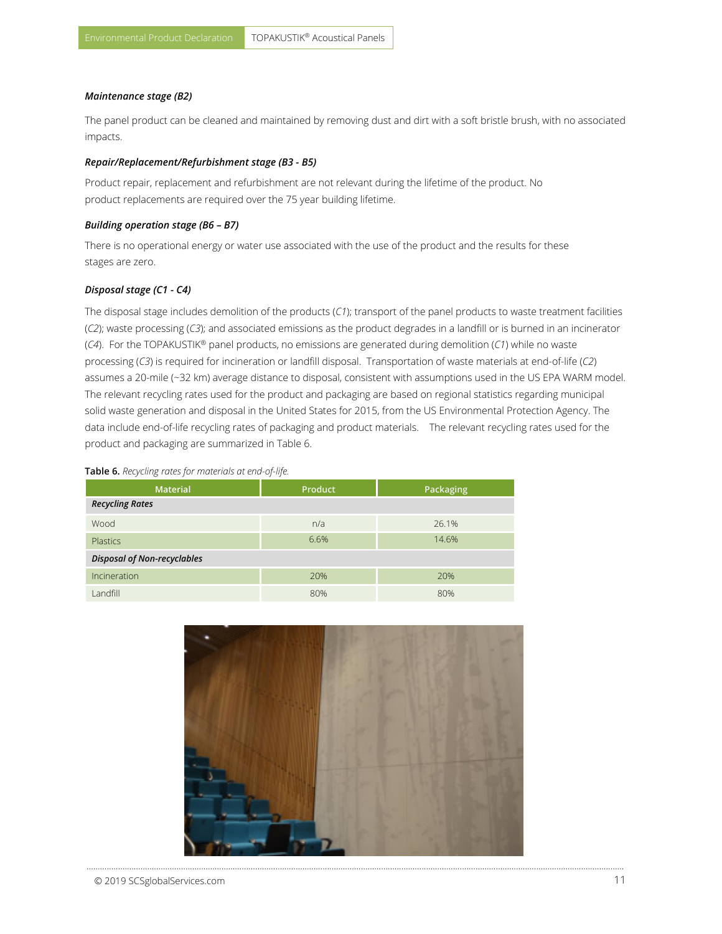#### *Maintenance stage (B2)*

The panel product can be cleaned and maintained by removing dust and dirt with a soft bristle brush, with no associated impacts.

#### *Repair/Replacement/Refurbishment stage (B3 - B5)*

Product repair, replacement and refurbishment are not relevant during the lifetime of the product. No product replacements are required over the 75 year building lifetime.

#### *Building operation stage (B6 – B7)*

There is no operational energy or water use associated with the use of the product and the results for these stages are zero.

#### *Disposal stage (C1 - C4)*

The disposal stage includes demolition of the products (*C1*); transport of the panel products to waste treatment facilities (*C2*); waste processing (*C3*); and associated emissions as the product degrades in a landfill or is burned in an incinerator (*C4*). For the TOPAKUSTIK® panel products, no emissions are generated during demolition (*C1*) while no waste processing (*C3*) is required for incineration or landfill disposal. Transportation of waste materials at end-of-life (*C2*) assumes a 20-mile (~32 km) average distance to disposal, consistent with assumptions used in the US EPA WARM model. The relevant recycling rates used for the product and packaging are based on regional statistics regarding municipal solid waste generation and disposal in the United States for 2015, from the US Environmental Protection Agency. The data include end-of-life recycling rates of packaging and product materials. The relevant recycling rates used for the product and packaging are summarized in Table 6.

#### **Table 6.** *Recycling rates for materials at end-of-life.*

| <b>Material</b>                    | <b>Product</b> | Packaging |  |  |
|------------------------------------|----------------|-----------|--|--|
| <b>Recycling Rates</b>             |                |           |  |  |
| Wood                               | n/a            | 26.1%     |  |  |
| <b>Plastics</b>                    | 6.6%           | 14.6%     |  |  |
| <b>Disposal of Non-recyclables</b> |                |           |  |  |
| Incineration                       | 20%            | 20%       |  |  |
| Landfill                           | 80%            | 80%       |  |  |

<span id="page-10-0"></span>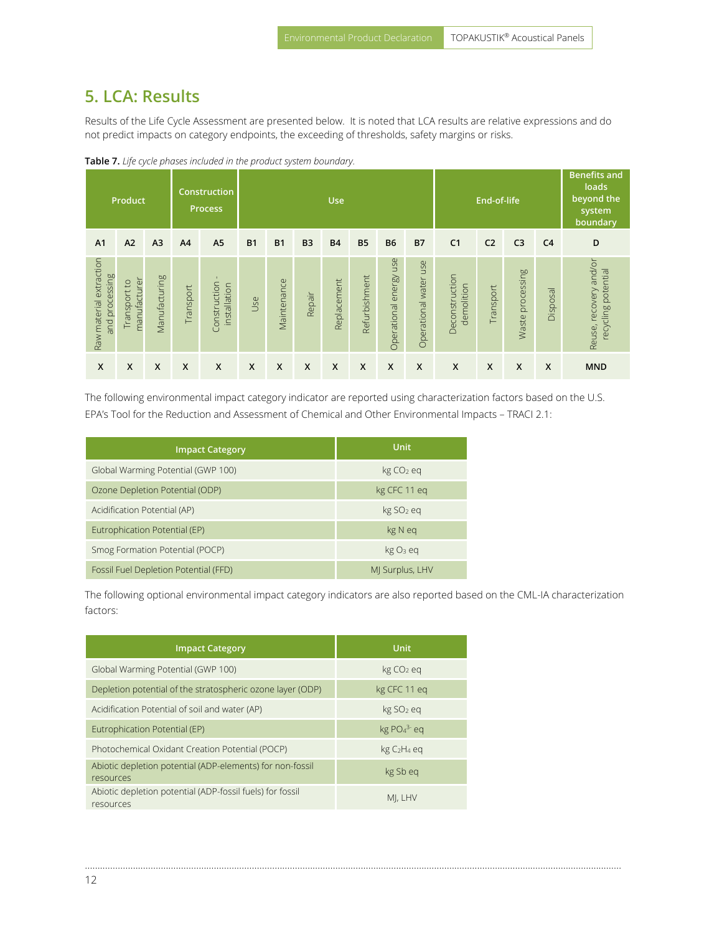### **5. LCA: Results**

Results of the Life Cycle Assessment are presented below. It is noted that LCA results are relative expressions and do not predict impacts on category endpoints, the exceeding of thresholds, safety margins or risks.

|                                           | Product                      |                |                | Construction<br><b>Process</b> |              | loads<br>End-of-life<br><b>Use</b> |                           |                           |               |                           |                       |                              |                |                  | <b>Benefits and</b><br>beyond the<br>system<br>boundary |                                               |
|-------------------------------------------|------------------------------|----------------|----------------|--------------------------------|--------------|------------------------------------|---------------------------|---------------------------|---------------|---------------------------|-----------------------|------------------------------|----------------|------------------|---------------------------------------------------------|-----------------------------------------------|
| A <sub>1</sub>                            | A2                           | A <sub>3</sub> | A <sub>4</sub> | A <sub>5</sub>                 | <b>B1</b>    | <b>B1</b>                          | B <sub>3</sub>            | <b>B4</b>                 | <b>B5</b>     | <b>B6</b>                 | <b>B7</b>             | C <sub>1</sub>               | C <sub>2</sub> | C <sub>3</sub>   | C <sub>4</sub>                                          | D                                             |
| Raw material extraction<br>and processing | manufacturer<br>Transport to | Manufacturing  | Transport      | Construction<br>installation   | Use          | Maintenance                        | Repair                    | Replacement               | Refurbishment | Operational energy use    | Operational water use | Deconstruction<br>demolition | Transport      | Waste processing | Disposal                                                | Reuse, recovery and/or<br>recycling potential |
| $\boldsymbol{\mathsf{X}}$                 | $\boldsymbol{\mathsf{X}}$    | X              | X              | $\boldsymbol{\mathsf{X}}$      | $\mathsf{x}$ | X                                  | $\boldsymbol{\mathsf{X}}$ | $\boldsymbol{\mathsf{x}}$ | X             | $\boldsymbol{\mathsf{X}}$ | X                     | $\mathsf{x}$                 | X              | X                | $\boldsymbol{\mathsf{x}}$                               | <b>MND</b>                                    |

**Table 7.** *Life cycle phases included in the product system boundary.*

The following environmental impact category indicator are reported using characterization factors based on the U.S. EPA's Tool for the Reduction and Assessment of Chemical and Other Environmental Impacts – TRACI 2.1:

| <b>Impact Category</b>                | <b>Unit</b>           |
|---------------------------------------|-----------------------|
| Global Warming Potential (GWP 100)    | kg CO <sub>2</sub> eq |
| Ozone Depletion Potential (ODP)       | kg CFC 11 eq          |
| Acidification Potential (AP)          | kg SO <sub>2</sub> eq |
| Eutrophication Potential (EP)         | kg N eq               |
| Smog Formation Potential (POCP)       | $kgO3$ eq             |
| Fossil Fuel Depletion Potential (FFD) | MJ Surplus, LHV       |

The following optional environmental impact category indicators are also reported based on the CML-IA characterization factors:

| <b>Impact Category</b>                                                 | <b>Unit</b>                         |
|------------------------------------------------------------------------|-------------------------------------|
| Global Warming Potential (GWP 100)                                     | $kg CO2$ eg                         |
| Depletion potential of the stratospheric ozone layer (ODP)             | kg CFC 11 eq                        |
| Acidification Potential of soil and water (AP)                         | kg SO <sub>2</sub> eq               |
| Eutrophication Potential (EP)                                          | $kg PO43$ eq                        |
| Photochemical Oxidant Creation Potential (POCP)                        | kg C <sub>2</sub> H <sub>4</sub> eq |
| Abiotic depletion potential (ADP-elements) for non-fossil<br>resources | kg Sb eq                            |
| Abiotic depletion potential (ADP-fossil fuels) for fossil<br>resources | MI, LHV                             |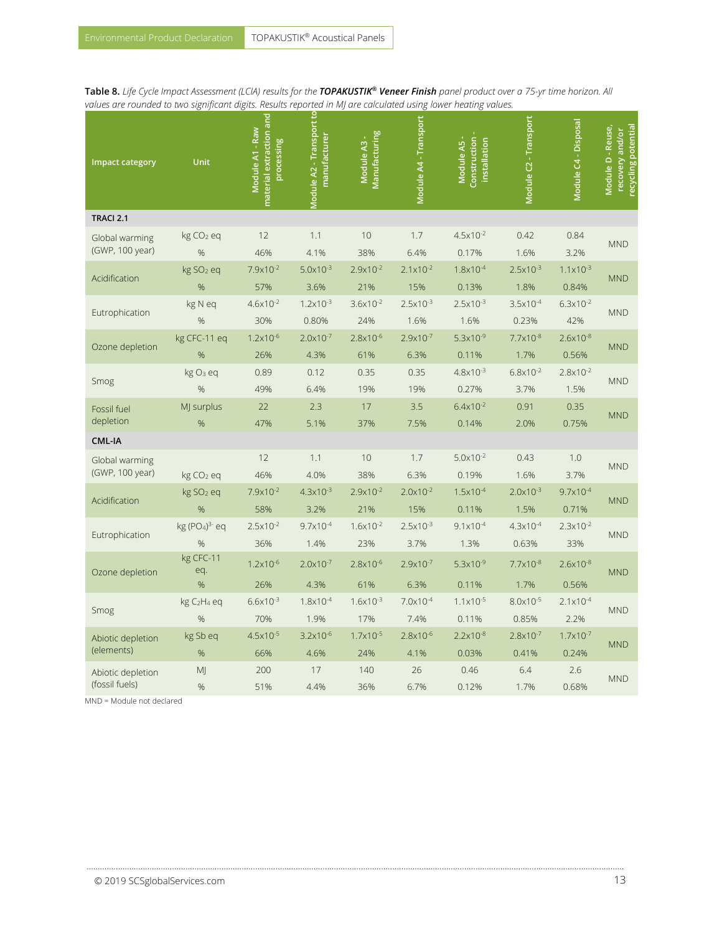**Table 8.** *Life Cycle Impact Assessment (LCIA) results for the TOPAKUSTIK® Veneer Finish panel product over a 75-yr time horizon. All values are rounded to two significant digits. Results reported in MJ are calculated using lower heating values.*

| <b>Impact category</b>              | Unit                                        | material extraction and<br>Module A1 - Raw<br>processing | <b>Module A2 - Transport to</b><br>manufacturer | Manufacturing<br>Module A3 - | Module A4 - Transport        | Construction -<br>Module A5 -<br>installation | Module C2 - Transport         | Module C4 - Disposal          | Module D - Reuse,<br>recycling potential<br>recovery and/or |
|-------------------------------------|---------------------------------------------|----------------------------------------------------------|-------------------------------------------------|------------------------------|------------------------------|-----------------------------------------------|-------------------------------|-------------------------------|-------------------------------------------------------------|
| TRACI 2.1                           |                                             |                                                          |                                                 |                              |                              |                                               |                               |                               |                                                             |
| Global warming<br>(GWP, 100 year)   | kg CO <sub>2</sub> eq<br>%                  | 12<br>46%                                                | 1.1<br>4.1%                                     | 10<br>38%                    | 1.7<br>6.4%                  | $4.5x10^{-2}$<br>0.17%                        | 0.42<br>1.6%                  | 0.84<br>3.2%                  | <b>MND</b>                                                  |
| Acidification                       | kg SO <sub>2</sub> eq<br>%                  | $7.9x10^{-2}$<br>57%                                     | $5.0x10^{-3}$<br>3.6%                           | $2.9x10^{-2}$<br>21%         | $2.1 \times 10^{-2}$<br>15%  | $1.8 \times 10^{-4}$<br>0.13%                 | $2.5x10^{-3}$<br>1.8%         | $1.1 \times 10^{-3}$<br>0.84% | <b>MND</b>                                                  |
| Eutrophication                      | kg N eq<br>%                                | $4.6x10^{-2}$<br>30%                                     | $1.2 \times 10^{-3}$<br>0.80%                   | $3.6x10^{-2}$<br>24%         | $2.5x10^{-3}$<br>1.6%        | $2.5 \times 10^{-3}$<br>1.6%                  | $3.5x10^{-4}$<br>0.23%        | $6.3x10^{-2}$<br>42%          | <b>MND</b>                                                  |
| Ozone depletion                     | kg CFC-11 eq<br>%                           | $1.2 \times 10^{-6}$<br>26%                              | $2.0 \times 10^{-7}$<br>4.3%                    | $2.8 \times 10^{-6}$<br>61%  | $2.9x10^{-7}$<br>6.3%        | $5.3x10^{-9}$<br>0.11%                        | $7.7 \times 10^{-8}$<br>1.7%  | $2.6x10^{-8}$<br>0.56%        | <b>MND</b>                                                  |
| Smog                                | kg O <sub>3</sub> eq<br>%                   | 0.89<br>49%                                              | 0.12<br>6.4%                                    | 0.35<br>19%                  | 0.35<br>19%                  | $4.8 \times 10^{-3}$<br>0.27%                 | $6.8x10^{-2}$<br>3.7%         | $2.8x10^{-2}$<br>1.5%         | <b>MND</b>                                                  |
| Fossil fuel<br>depletion            | MJ surplus<br>%                             | 22<br>47%                                                | 2.3<br>5.1%                                     | 17<br>37%                    | 3.5<br>7.5%                  | $6.4x10^{-2}$<br>0.14%                        | 0.91<br>2.0%                  | 0.35<br>0.75%                 | <b>MND</b>                                                  |
| CML-IA                              |                                             |                                                          |                                                 |                              |                              |                                               |                               |                               |                                                             |
| Global warming<br>(GWP, 100 year)   | kg CO <sub>2</sub> eq                       | 12<br>46%                                                | 1.1<br>4.0%                                     | 10<br>38%                    | 1.7<br>6.3%                  | $5.0x10^{-2}$<br>0.19%                        | 0.43<br>1.6%                  | 1.0<br>3.7%                   | <b>MND</b>                                                  |
| Acidification                       | kg SO <sub>2</sub> eq<br>%                  | $7.9x10^{-2}$<br>58%                                     | $4.3 \times 10^{-3}$<br>3.2%                    | $2.9x10^{-2}$<br>21%         | $2.0x10^{-2}$<br>15%         | $1.5 \times 10^{-4}$<br>0.11%                 | $2.0x10^{-3}$<br>1.5%         | $9.7x10^{-4}$<br>0.71%        | <b>MND</b>                                                  |
| Eutrophication                      | kg (PO <sub>4</sub> ) <sup>3-</sup> eq<br>% | $2.5x10^{-2}$<br>36%                                     | $9.7 \times 10^{-4}$<br>1.4%                    | $1.6x10^{-2}$<br>23%         | $2.5x10^{-3}$<br>3.7%        | $9.1x10^{-4}$<br>1.3%                         | $4.3x10^{-4}$<br>0.63%        | $2.3 \times 10^{-2}$<br>33%   | <b>MND</b>                                                  |
| Ozone depletion                     | kg CFC-11<br>eq.<br>%                       | $1.2 \times 10^{-6}$<br>26%                              | $2.0 \times 10^{-7}$<br>4.3%                    | $2.8 \times 10^{-6}$<br>61%  | $2.9x10^{-7}$<br>6.3%        | $5.3x10^{-9}$<br>0.11%                        | $7.7x10^{-8}$<br>1.7%         | $2.6x10^{-8}$<br>0.56%        | <b>MND</b>                                                  |
| Smog                                | kg C <sub>2</sub> H <sub>4</sub> eq<br>%    | $6.6x10^{-3}$<br>70%                                     | $1.8 \times 10^{-4}$<br>1.9%                    | $1.6x10^{-3}$<br>17%         | $7.0 \times 10^{-4}$<br>7.4% | $1.1 \times 10^{-5}$<br>0.11%                 | $8.0x10^{-5}$<br>0.85%        | $2.1x10^{-4}$<br>2.2%         | <b>MND</b>                                                  |
| Abiotic depletion<br>(elements)     | kg Sb eq<br>%                               | $4.5x10^{-5}$<br>66%                                     | $3.2 \times 10^{-6}$<br>4.6%                    | $1.7 \times 10^{-5}$<br>24%  | $2.8x10^{-6}$<br>4.1%        | $2.2 \times 10^{-8}$<br>0.03%                 | $2.8 \times 10^{-7}$<br>0.41% | $1.7 \times 10^{-7}$<br>0.24% | <b>MND</b>                                                  |
| Abiotic depletion<br>(fossil fuels) | MJ<br>%                                     | 200<br>51%                                               | 17<br>4.4%                                      | 140<br>36%                   | 26<br>6.7%                   | 0.46<br>0.12%                                 | 6.4<br>1.7%                   | 2.6<br>0.68%                  | <b>MND</b>                                                  |

………………………………………………………………………………………………..…………………………………………………………………………………………………………………

MND = Module not declared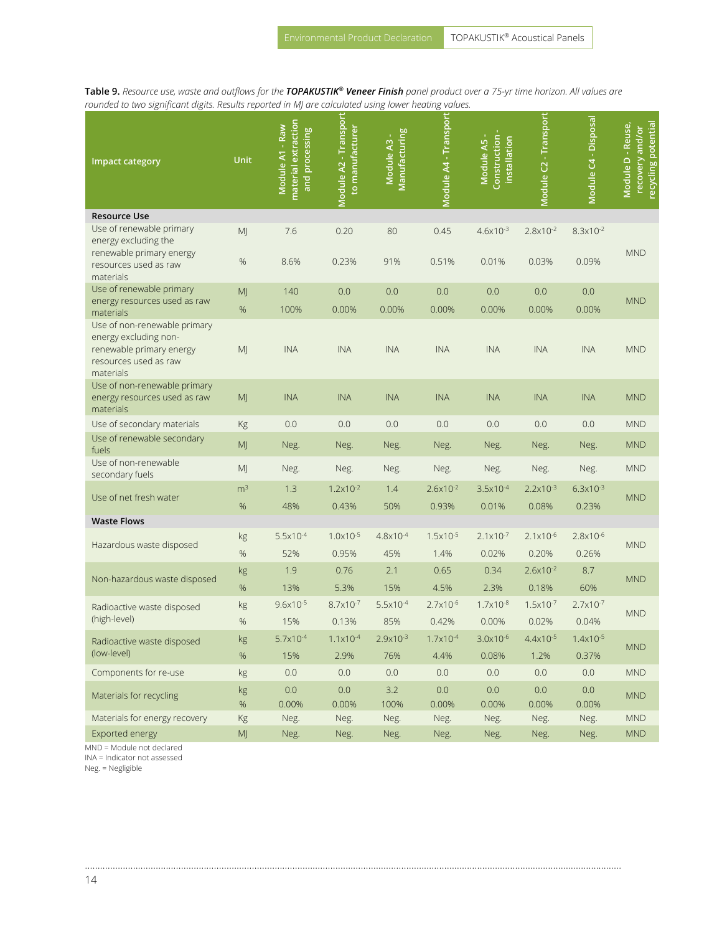**Table 9.** *Resource use, waste and outflows for the TOPAKUSTIK® Veneer Finish panel product over a 75-yr time horizon. All values are rounded to two significant digits. Results reported in MJ are calculated using lower heating values.*

| <b>Impact category</b>                                                                                                  | <b>Unit</b>            | material extraction<br>Module A1 - Raw<br>and processing | Module A2 - Transport<br>to manufacturer | <b>Manufacturing</b><br>Module A3 - | Module A4 - Transport        | Construction -<br>Module A5 -<br>installation | Module C2 - Transport         | Module C4 - Disposal          | ecycling potential<br>Module D - Reuse,<br>recovery and/or |
|-------------------------------------------------------------------------------------------------------------------------|------------------------|----------------------------------------------------------|------------------------------------------|-------------------------------------|------------------------------|-----------------------------------------------|-------------------------------|-------------------------------|------------------------------------------------------------|
| <b>Resource Use</b>                                                                                                     |                        |                                                          |                                          |                                     |                              |                                               |                               |                               |                                                            |
| Use of renewable primary<br>energy excluding the<br>renewable primary energy<br>resources used as raw<br>materials      | M<br>%                 | 7.6<br>8.6%                                              | 0.20<br>0.23%                            | 80<br>91%                           | 0.45<br>0.51%                | $4.6x10^{-3}$<br>0.01%                        | $2.8x10^{-2}$<br>0.03%        | $8.3x10^{-2}$<br>0.09%        | <b>MND</b>                                                 |
| Use of renewable primary                                                                                                | MJ                     | 140                                                      | 0.0                                      | 0.0                                 | 0.0                          | 0.0                                           | 0.0                           | 0.0                           |                                                            |
| energy resources used as raw<br>materials                                                                               | $\%$                   | 100%                                                     | 0.00%                                    | 0.00%                               | 0.00%                        | 0.00%                                         | 0.00%                         | 0.00%                         | <b>MND</b>                                                 |
| Use of non-renewable primary<br>energy excluding non-<br>renewable primary energy<br>resources used as raw<br>materials | MJ                     | <b>INA</b>                                               | <b>INA</b>                               | <b>INA</b>                          | <b>INA</b>                   | <b>INA</b>                                    | <b>INA</b>                    | <b>INA</b>                    | <b>MND</b>                                                 |
| Use of non-renewable primary<br>energy resources used as raw<br>materials                                               | MJ                     | <b>INA</b>                                               | <b>INA</b>                               | <b>INA</b>                          | <b>INA</b>                   | <b>INA</b>                                    | <b>INA</b>                    | <b>INA</b>                    | <b>MND</b>                                                 |
| Use of secondary materials                                                                                              | Kg                     | 0.0                                                      | 0.0                                      | 0.0                                 | 0.0                          | 0.0                                           | 0.0                           | 0.0                           | <b>MND</b>                                                 |
| Use of renewable secondary<br>fuels                                                                                     | MJ                     | Neg.                                                     | Neg.                                     | Neg.                                | Neg.                         | Neg.                                          | Neg.                          | Neg.                          | <b>MND</b>                                                 |
| Use of non-renewable<br>secondary fuels                                                                                 | MJ                     | Neg.                                                     | Neg.                                     | Neg.                                | Neg.                         | Neg.                                          | Neg.                          | Neg.                          | <b>MND</b>                                                 |
| Use of net fresh water                                                                                                  | m <sup>3</sup><br>$\%$ | 1.3<br>48%                                               | $1.2 \times 10^{-2}$<br>0.43%            | 1.4<br>50%                          | $2.6x10^{-2}$<br>0.93%       | $3.5x10^{-4}$<br>0.01%                        | $2.2 \times 10^{-3}$<br>0.08% | $6.3x10^{-3}$<br>0.23%        | <b>MND</b>                                                 |
| <b>Waste Flows</b>                                                                                                      |                        |                                                          |                                          |                                     |                              |                                               |                               |                               |                                                            |
| Hazardous waste disposed                                                                                                | kg<br>%                | $5.5 \times 10^{-4}$<br>52%                              | $1.0x10^{-5}$<br>0.95%                   | $4.8 \times 10^{-4}$<br>45%         | $1.5x10^{-5}$<br>1.4%        | $2.1 \times 10^{-7}$<br>0.02%                 | $2.1x10^{-6}$<br>0.20%        | $2.8 \times 10^{-6}$<br>0.26% | <b>MND</b>                                                 |
| Non-hazardous waste disposed                                                                                            | kg<br>%                | 1.9<br>13%                                               | 0.76<br>5.3%                             | 2.1<br>15%                          | 0.65<br>4.5%                 | 0.34<br>2.3%                                  | $2.6x10^{-2}$<br>0.18%        | 8.7<br>60%                    | <b>MND</b>                                                 |
| Radioactive waste disposed                                                                                              | kg                     | $9.6x10^{-5}$                                            | $8.7 \times 10^{-7}$                     | $5.5x10^{-4}$                       | $2.7x10^{-6}$                | $1.7 \times 10^{-8}$                          | $1.5 \times 10^{-7}$          | $2.7 \times 10^{-7}$          |                                                            |
| (high-level)                                                                                                            | %                      | 15%                                                      | 0.13%                                    | 85%                                 | 0.42%                        | 0.00%                                         | 0.02%                         | 0.04%                         | <b>MND</b>                                                 |
| Radioactive waste disposed<br>(low-level)                                                                               | kg<br>%                | $5.7 \times 10^{-4}$<br>15%                              | $1.1 \times 10^{-4}$<br>2.9%             | $2.9x10^{-3}$<br>76%                | $1.7 \times 10^{-4}$<br>4.4% | $3.0x10^{-6}$<br>0.08%                        | 4.4x10-5<br>1.2%              | $1.4x10^{-5}$<br>0.37%        | <b>MND</b>                                                 |
| Components for re-use                                                                                                   | kg                     | 0.0                                                      | 0.0                                      | 0.0                                 | 0.0                          | 0.0                                           | 0.0                           | 0.0                           | <b>MND</b>                                                 |
| Materials for recycling                                                                                                 | kg<br>$\%$             | 0.0<br>0.00%                                             | 0.0<br>0.00%                             | 3.2<br>100%                         | 0.0<br>0.00%                 | 0.0<br>0.00%                                  | 0.0<br>0.00%                  | 0.0<br>0.00%                  | <b>MND</b>                                                 |
| Materials for energy recovery                                                                                           | Kg                     | Neg.                                                     | Neg.                                     | Neg.                                | Neg.                         | Neg.                                          | Neg.                          | Neg.                          | <b>MND</b>                                                 |
| Exported energy                                                                                                         | $\mathsf{MJ}$          | Neg.                                                     | Neg.                                     | Neg.                                | Neg.                         | Neg.                                          | Neg.                          | Neg.                          | <b>MND</b>                                                 |

………………………………………………………………………………………………..…………………………………………………………………………………………

MND = Module not declared

INA = Indicator not assessed

Neg. = Negligible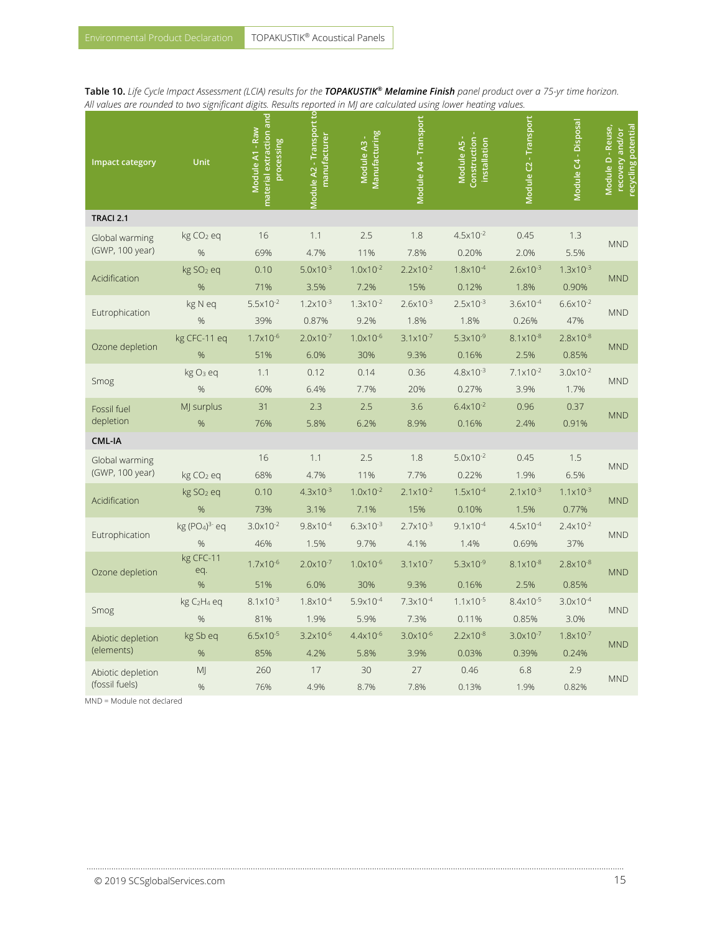<span id="page-14-0"></span>**Table 10.** *Life Cycle Impact Assessment (LCIA) results for the TOPAKUSTIK® Melamine Finish panel product over a 75-yr time horizon. All values are rounded to two significant digits. Results reported in MJ are calculated using lower heating values.*

| <b>Impact category</b>              | Unit                                           | material extraction and<br>Module A1 - Raw<br>processing | <b>Module A2 - Transport to</b><br>manufacturer | Manufacturing<br>Module A3 - | Module A4 - Transport        | Construction-<br>Module A5 -<br>installation | Module C2 - Transport  | Module C4 - Disposal          | Module D - Reuse,<br>recycling potential<br>recovery and/or |
|-------------------------------------|------------------------------------------------|----------------------------------------------------------|-------------------------------------------------|------------------------------|------------------------------|----------------------------------------------|------------------------|-------------------------------|-------------------------------------------------------------|
| TRACI 2.1                           |                                                |                                                          |                                                 |                              |                              |                                              |                        |                               |                                                             |
| Global warming<br>(GWP, 100 year)   | kg CO <sub>2</sub> eq<br>%                     | 16<br>69%                                                | 1.1<br>4.7%                                     | 2.5<br>11%                   | 1.8<br>7.8%                  | $4.5x10^{-2}$<br>0.20%                       | 0.45<br>2.0%           | 1.3<br>5.5%                   | <b>MND</b>                                                  |
| Acidification                       | kg SO <sub>2</sub> eq<br>%                     | 0.10<br>71%                                              | $5.0x10^{-3}$<br>3.5%                           | $1.0x10^{-2}$<br>7.2%        | $2.2 \times 10^{-2}$<br>15%  | 1.8x10-4<br>0.12%                            | $2.6x10^{-3}$<br>1.8%  | $1.3x10^{-3}$<br>0.90%        | <b>MND</b>                                                  |
| Eutrophication                      | kg N eq<br>%                                   | $5.5x10^{-2}$<br>39%                                     | $1.2 \times 10^{-3}$<br>0.87%                   | $1.3x10^{-2}$<br>9.2%        | $2.6x10^{-3}$<br>1.8%        | $2.5x10^{-3}$<br>1.8%                        | $3.6x10^{-4}$<br>0.26% | $6.6x10^{-2}$<br>47%          | <b>MND</b>                                                  |
| Ozone depletion                     | kg CFC-11 eq<br>%                              | $1.7x10^{-6}$<br>51%                                     | $2.0x10^{-7}$<br>6.0%                           | $1.0 \times 10^{-6}$<br>30%  | $3.1 \times 10^{-7}$<br>9.3% | $5.3x10^{-9}$<br>0.16%                       | $8.1x10^{-8}$<br>2.5%  | $2.8x10^{-8}$<br>0.85%        | <b>MND</b>                                                  |
| Smog                                | kg O <sub>3</sub> eq<br>%                      | 1.1<br>60%                                               | 0.12<br>6.4%                                    | 0.14<br>7.7%                 | 0.36<br>20%                  | $4.8 \times 10^{-3}$<br>0.27%                | $7.1x10^{-2}$<br>3.9%  | $3.0x10^{-2}$<br>1.7%         | <b>MND</b>                                                  |
| Fossil fuel<br>depletion            | MJ surplus<br>%                                | 31<br>76%                                                | 2.3<br>5.8%                                     | 2.5<br>6.2%                  | 3.6<br>8.9%                  | $6.4x10^{-2}$<br>0.16%                       | 0.96<br>2.4%           | 0.37<br>0.91%                 | <b>MND</b>                                                  |
| <b>CML-IA</b>                       |                                                |                                                          |                                                 |                              |                              |                                              |                        |                               |                                                             |
| Global warming<br>(GWP, 100 year)   | kg CO <sub>2</sub> eq                          | 16<br>68%                                                | 1.1<br>4.7%                                     | 2.5<br>11%                   | 1.8<br>7.7%                  | $5.0x10^{-2}$<br>0.22%                       | 0.45<br>1.9%           | 1.5<br>6.5%                   | <b>MND</b>                                                  |
| Acidification                       | kg SO <sub>2</sub> eq<br>%                     | 0.10<br>73%                                              | $4.3 \times 10^{-3}$<br>3.1%                    | $1.0 \times 10^{-2}$<br>7.1% | $2.1 \times 10^{-2}$<br>15%  | $1.5x10^{-4}$<br>0.10%                       | $2.1x10^{-3}$<br>1.5%  | $1.1 \times 10^{-3}$<br>0.77% | <b>MND</b>                                                  |
| Eutrophication                      | kg (PO <sub>4</sub> ) <sup>3-</sup> eq<br>$\%$ | $3.0x10^{-2}$<br>46%                                     | $9.8 \times 10^{-4}$<br>1.5%                    | $6.3x10^{-3}$<br>9.7%        | $2.7 \times 10^{-3}$<br>4.1% | $9.1x10^{-4}$<br>1.4%                        | $4.5x10^{-4}$<br>0.69% | $2.4x10^{-2}$<br>37%          | <b>MND</b>                                                  |
| Ozone depletion                     | kg CFC-11<br>eq.<br>%                          | $1.7x10^{-6}$<br>51%                                     | $2.0x10^{-7}$<br>6.0%                           | $1.0x10^{-6}$<br>30%         | $3.1 \times 10^{-7}$<br>9.3% | $5.3x10^{-9}$<br>0.16%                       | $8.1x10^{-8}$<br>2.5%  | $2.8x10^{-8}$<br>0.85%        | <b>MND</b>                                                  |
| Smog                                | kg C <sub>2</sub> H <sub>4</sub> eq<br>%       | $8.1x10^{-3}$<br>81%                                     | $1.8x10^{-4}$<br>1.9%                           | $5.9x10^{-4}$<br>5.9%        | $7.3 \times 10^{-4}$<br>7.3% | $1.1 \times 10^{-5}$<br>0.11%                | $8.4x10^{-5}$<br>0.85% | $3.0x10^{-4}$<br>3.0%         | <b>MND</b>                                                  |
| Abiotic depletion<br>(elements)     | kg Sb eq<br>%                                  | $6.5x10^{-5}$<br>85%                                     | $3.2 \times 10^{-6}$<br>4.2%                    | $4.4x10^{-6}$<br>5.8%        | $3.0x10^{-6}$<br>3.9%        | $2.2 \times 10^{-8}$<br>0.03%                | $3.0x10^{-7}$<br>0.39% | $1.8 \times 10^{-7}$<br>0.24% | <b>MND</b>                                                  |
| Abiotic depletion<br>(fossil fuels) | MJ<br>%                                        | 260<br>76%                                               | 17<br>4.9%                                      | 30<br>8.7%                   | 27<br>7.8%                   | 0.46<br>0.13%                                | 6.8<br>1.9%            | 2.9<br>0.82%                  | <b>MND</b>                                                  |

………………………………………………………………………………………………..…………………………………………………………………………………………………………………

MND = Module not declared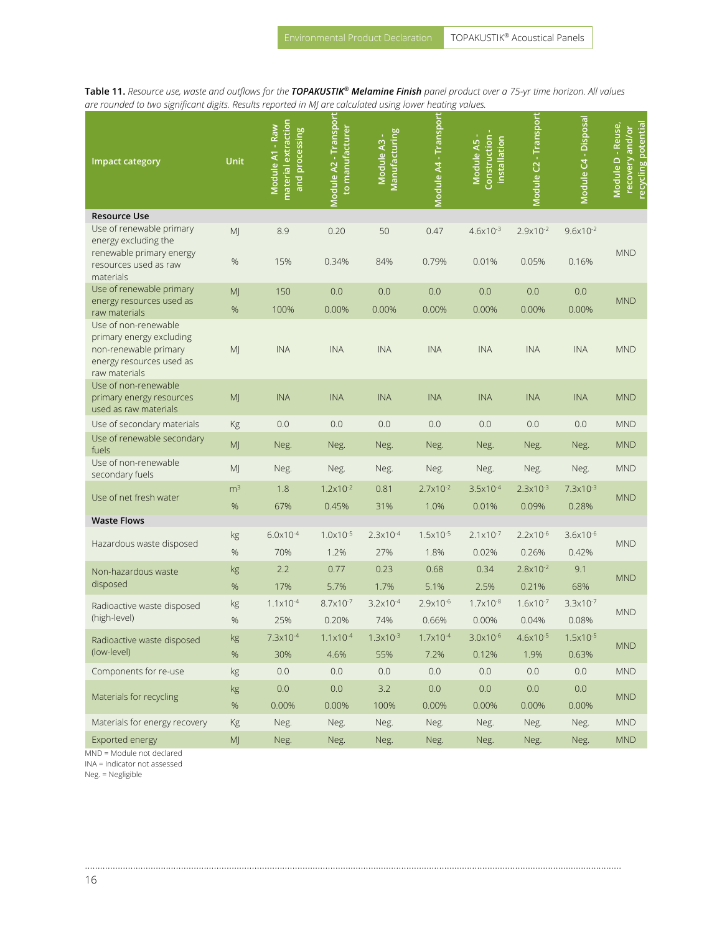**Table 11.** *Resource use, waste and outflows for the TOPAKUSTIK® Melamine Finish panel product over a 75-yr time horizon. All values are rounded to two significant digits. Results reported in MJ are calculated using lower heating values.*

| <b>Impact category</b>                                                                                                 | Unit                                                                                                                                                                                                                                                                                                                                                                                                                                                                                                                                                                                                                                                                                                                                                                                  | material extraction<br>Module A1 - Raw<br>and processing | Module A2 - Transport<br>to manufacturer | <b>Manufacturing</b><br>Module A3 - | Module A4 - Transport | Construction<br>Module A5 -<br>installation | Module C2 - Transport  | Module C4 - Disposal   | Module D - Reuse,<br>ecycling potential<br>recovery and/or |
|------------------------------------------------------------------------------------------------------------------------|---------------------------------------------------------------------------------------------------------------------------------------------------------------------------------------------------------------------------------------------------------------------------------------------------------------------------------------------------------------------------------------------------------------------------------------------------------------------------------------------------------------------------------------------------------------------------------------------------------------------------------------------------------------------------------------------------------------------------------------------------------------------------------------|----------------------------------------------------------|------------------------------------------|-------------------------------------|-----------------------|---------------------------------------------|------------------------|------------------------|------------------------------------------------------------|
| <b>Resource Use</b>                                                                                                    |                                                                                                                                                                                                                                                                                                                                                                                                                                                                                                                                                                                                                                                                                                                                                                                       |                                                          |                                          |                                     |                       |                                             |                        |                        |                                                            |
| Use of renewable primary<br>energy excluding the<br>renewable primary energy<br>resources used as raw                  | MJ<br>%                                                                                                                                                                                                                                                                                                                                                                                                                                                                                                                                                                                                                                                                                                                                                                               | 8.9<br>15%                                               | 0.20<br>0.34%                            | 50<br>84%                           | 0.47<br>0.79%         | $4.6x10^{-3}$<br>0.01%                      | $2.9x10^{-2}$<br>0.05% | $9.6x10^{-2}$<br>0.16% | <b>MND</b>                                                 |
| materials                                                                                                              |                                                                                                                                                                                                                                                                                                                                                                                                                                                                                                                                                                                                                                                                                                                                                                                       |                                                          |                                          |                                     |                       |                                             |                        |                        |                                                            |
| Use of renewable primary<br>energy resources used as                                                                   | MJ                                                                                                                                                                                                                                                                                                                                                                                                                                                                                                                                                                                                                                                                                                                                                                                    | 150                                                      | 0.0                                      | 0.0                                 | 0.0                   | 0.0                                         | 0.0                    | 0.0                    | <b>MND</b>                                                 |
| raw materials                                                                                                          | $\%$                                                                                                                                                                                                                                                                                                                                                                                                                                                                                                                                                                                                                                                                                                                                                                                  | 100%                                                     | 0.00%                                    | 0.00%                               | 0.00%                 | 0.00%                                       | 0.00%                  | 0.00%                  |                                                            |
| Use of non-renewable<br>primary energy excluding<br>non-renewable primary<br>energy resources used as<br>raw materials | MJ                                                                                                                                                                                                                                                                                                                                                                                                                                                                                                                                                                                                                                                                                                                                                                                    | <b>INA</b>                                               | <b>INA</b>                               | <b>INA</b>                          | <b>INA</b>            | <b>INA</b>                                  | <b>INA</b>             | <b>INA</b>             | <b>MND</b>                                                 |
| Use of non-renewable<br>primary energy resources<br>used as raw materials                                              | MJ                                                                                                                                                                                                                                                                                                                                                                                                                                                                                                                                                                                                                                                                                                                                                                                    | <b>INA</b>                                               | <b>INA</b>                               | <b>INA</b>                          | <b>INA</b>            | <b>INA</b>                                  | <b>INA</b>             | <b>INA</b>             | <b>MND</b>                                                 |
| Use of secondary materials                                                                                             | Kg                                                                                                                                                                                                                                                                                                                                                                                                                                                                                                                                                                                                                                                                                                                                                                                    | 0.0                                                      | 0.0                                      | 0.0                                 | 0.0                   | 0.0                                         | 0.0                    | 0.0                    | <b>MND</b>                                                 |
| Use of renewable secondary<br>fuels                                                                                    | MJ                                                                                                                                                                                                                                                                                                                                                                                                                                                                                                                                                                                                                                                                                                                                                                                    | Neg.                                                     | Neg.                                     | Neg.                                | Neg.                  | Neg.                                        | Neg.                   | Neg.                   | <b>MND</b>                                                 |
| Use of non-renewable<br>secondary fuels                                                                                | MJ                                                                                                                                                                                                                                                                                                                                                                                                                                                                                                                                                                                                                                                                                                                                                                                    | Neg.                                                     | Neg.                                     | Neg.                                | Neg.                  | Neg.                                        | Neg.                   | Neg.                   | <b>MND</b>                                                 |
| Use of net fresh water                                                                                                 | m <sup>3</sup>                                                                                                                                                                                                                                                                                                                                                                                                                                                                                                                                                                                                                                                                                                                                                                        | 1.8                                                      | $1.2 \times 10^{-2}$                     | 0.81                                | $2.7x10^{-2}$         | $3.5x10^{-4}$                               | $2.3x10^{-3}$          | $7.3x10^{-3}$          | <b>MND</b>                                                 |
|                                                                                                                        | $\%$                                                                                                                                                                                                                                                                                                                                                                                                                                                                                                                                                                                                                                                                                                                                                                                  | 67%                                                      | 0.45%                                    | 31%                                 | 1.0%                  | 0.01%                                       | 0.09%                  | 0.28%                  |                                                            |
| <b>Waste Flows</b>                                                                                                     |                                                                                                                                                                                                                                                                                                                                                                                                                                                                                                                                                                                                                                                                                                                                                                                       |                                                          |                                          |                                     |                       |                                             |                        |                        |                                                            |
| Hazardous waste disposed                                                                                               |                                                                                                                                                                                                                                                                                                                                                                                                                                                                                                                                                                                                                                                                                                                                                                                       |                                                          |                                          |                                     |                       |                                             |                        | $3.6x10^{-6}$          | <b>MND</b>                                                 |
|                                                                                                                        |                                                                                                                                                                                                                                                                                                                                                                                                                                                                                                                                                                                                                                                                                                                                                                                       |                                                          |                                          |                                     |                       |                                             |                        | 0.42%                  |                                                            |
| Non-hazardous waste                                                                                                    |                                                                                                                                                                                                                                                                                                                                                                                                                                                                                                                                                                                                                                                                                                                                                                                       |                                                          |                                          |                                     |                       |                                             |                        | 9.1                    | <b>MND</b>                                                 |
| disposed                                                                                                               |                                                                                                                                                                                                                                                                                                                                                                                                                                                                                                                                                                                                                                                                                                                                                                                       |                                                          |                                          |                                     |                       |                                             |                        | 68%                    |                                                            |
| Radioactive waste disposed                                                                                             |                                                                                                                                                                                                                                                                                                                                                                                                                                                                                                                                                                                                                                                                                                                                                                                       |                                                          |                                          |                                     |                       |                                             |                        | $3.3x10^{-7}$          | <b>MND</b>                                                 |
| (high-level)                                                                                                           | $6.0x10^{-4}$<br>$1.0 \times 10^{-5}$<br>$2.2 \times 10^{-6}$<br>$2.3x10^{-4}$<br>$1.5 \times 10^{-5}$<br>$2.1 \times 10^{-7}$<br>kg<br>70%<br>1.2%<br>%<br>27%<br>1.8%<br>0.02%<br>0.26%<br>2.2<br>0.77<br>0.23<br>0.68<br>0.34<br>$2.8x10^{-2}$<br>kg<br>17%<br>1.7%<br>5.7%<br>5.1%<br>2.5%<br>0.21%<br>%<br>$1.1 \times 10^{-4}$<br>$3.2 \times 10^{-4}$<br>$2.9x10^{-6}$<br>$1.7x10^{-8}$<br>$1.6x10^{-7}$<br>$8.7 \times 10^{-7}$<br>kg<br>25%<br>%<br>0.20%<br>74%<br>0.66%<br>0.00%<br>0.04%<br>$1.3 \times 10^{-3}$<br>$7.3x10^{-4}$<br>$1.1 \times 10^{-4}$<br>$1.7x10^{-4}$<br>$3.0x10^{-6}$<br>$4.6x10^{-5}$<br>kg<br>$\%$<br>30%<br>4.6%<br>55%<br>7.2%<br>0.12%<br>1.9%<br>0.0<br>0.0<br>0.0<br>0.0<br>0.0<br>0.0<br>kg<br>0.0<br>0.0<br>3.2<br>0.0<br>0.0<br>0.0<br>kg | 0.08%                                                    |                                          |                                     |                       |                                             |                        |                        |                                                            |
| Radioactive waste disposed                                                                                             |                                                                                                                                                                                                                                                                                                                                                                                                                                                                                                                                                                                                                                                                                                                                                                                       |                                                          |                                          |                                     |                       |                                             |                        | $1.5x10^{-5}$          | <b>MND</b>                                                 |
| (low-level)                                                                                                            |                                                                                                                                                                                                                                                                                                                                                                                                                                                                                                                                                                                                                                                                                                                                                                                       |                                                          |                                          |                                     |                       |                                             |                        | 0.63%                  |                                                            |
| Components for re-use                                                                                                  |                                                                                                                                                                                                                                                                                                                                                                                                                                                                                                                                                                                                                                                                                                                                                                                       |                                                          |                                          |                                     |                       |                                             |                        | 0.0                    | <b>MND</b>                                                 |
| Materials for recycling                                                                                                |                                                                                                                                                                                                                                                                                                                                                                                                                                                                                                                                                                                                                                                                                                                                                                                       |                                                          |                                          |                                     |                       |                                             |                        | 0.0                    | <b>MND</b>                                                 |
|                                                                                                                        | $\%$                                                                                                                                                                                                                                                                                                                                                                                                                                                                                                                                                                                                                                                                                                                                                                                  | 0.00%                                                    | 0.00%                                    | 100%                                | 0.00%                 | 0.00%                                       | 0.00%                  | 0.00%                  |                                                            |
| Materials for energy recovery                                                                                          | Kg                                                                                                                                                                                                                                                                                                                                                                                                                                                                                                                                                                                                                                                                                                                                                                                    | Neg.                                                     | Neg.                                     | Neg.                                | Neg.                  | Neg.                                        | Neg.                   | Neg.                   | <b>MND</b>                                                 |
| Exported energy                                                                                                        | MJ                                                                                                                                                                                                                                                                                                                                                                                                                                                                                                                                                                                                                                                                                                                                                                                    | Neg.                                                     | Neg.                                     | Neg.                                | Neg.                  | Neg.                                        | Neg.                   | Neg.                   | <b>MND</b>                                                 |

………………………………………………………………………………………………..…………………………………………………………………………………………

MND = Module not declared

INA = Indicator not assessed

Neg. = Negligible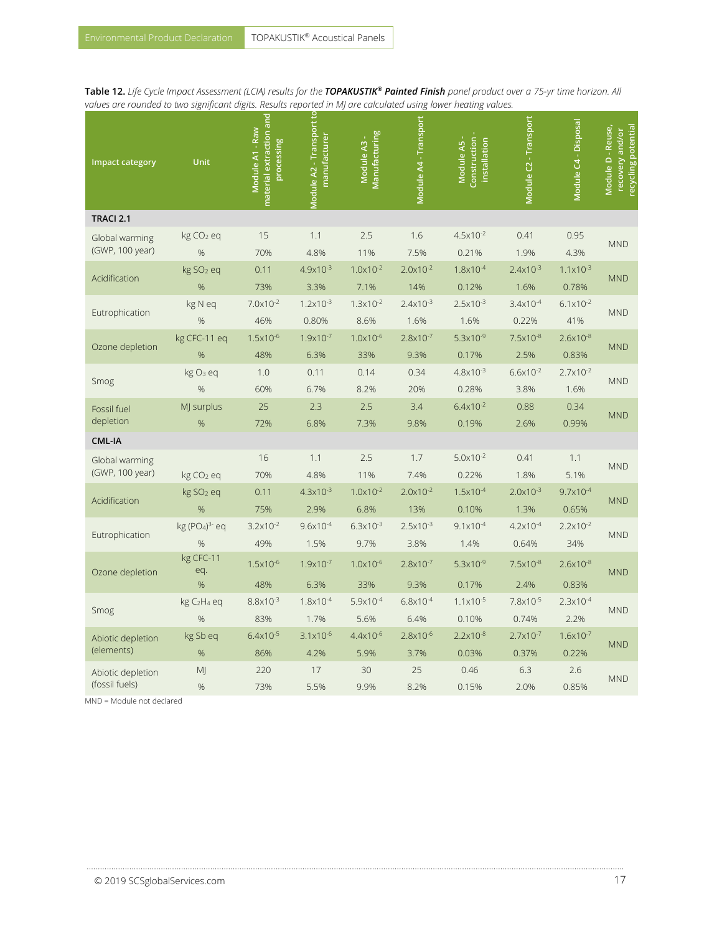**Table 12.** *Life Cycle Impact Assessment (LCIA) results for the TOPAKUSTIK® Painted Finish panel product over a 75-yr time horizon. All values are rounded to two significant digits. Results reported in MJ are calculated using lower heating values.*

| <b>Impact category</b>              | Unit                                        | material extraction and<br>Module A1 - Raw<br>processing | <b>Module A2 - Transport to</b><br>manufacturer | Manufacturing<br>Module A3 - | Module A4 - Transport        | Construction-<br>Module A5 -<br>installation | Module C2 - Transport         | Module C4 - Disposal          | Module D - Reuse,<br>recycling potential<br>recovery and/or |
|-------------------------------------|---------------------------------------------|----------------------------------------------------------|-------------------------------------------------|------------------------------|------------------------------|----------------------------------------------|-------------------------------|-------------------------------|-------------------------------------------------------------|
| TRACI 2.1                           |                                             |                                                          |                                                 |                              |                              |                                              |                               |                               |                                                             |
| Global warming<br>(GWP, 100 year)   | kg CO <sub>2</sub> eq<br>%                  | 15<br>70%                                                | 1.1<br>4.8%                                     | 2.5<br>11%                   | 1.6<br>7.5%                  | $4.5x10^{-2}$<br>0.21%                       | 0.41<br>1.9%                  | 0.95<br>4.3%                  | <b>MND</b>                                                  |
| Acidification                       | kg SO <sub>2</sub> eq<br>%                  | 0.11<br>73%                                              | $4.9x10^{-3}$<br>3.3%                           | $1.0x10^{-2}$<br>7.1%        | $2.0x10^{-2}$<br>14%         | 1.8x10-4<br>0.12%                            | $2.4x10^{-3}$<br>1.6%         | $1.1 \times 10^{-3}$<br>0.78% | <b>MND</b>                                                  |
| Eutrophication                      | kg N eq<br>%                                | $7.0x10^{-2}$<br>46%                                     | $1.2 \times 10^{-3}$<br>0.80%                   | $1.3 \times 10^{-2}$<br>8.6% | $2.4x10^{-3}$<br>1.6%        | $2.5x10^{-3}$<br>1.6%                        | $3.4x10^{-4}$<br>0.22%        | $6.1x10^{-2}$<br>41%          | <b>MND</b>                                                  |
| Ozone depletion                     | kg CFC-11 eq<br>$\frac{9}{6}$               | $1.5x10^{-6}$<br>48%                                     | $1.9x10^{-7}$<br>6.3%                           | $1.0 \times 10^{-6}$<br>33%  | $2.8x10^{-7}$<br>9.3%        | $5.3x10^{-9}$<br>0.17%                       | $7.5x10^{-8}$<br>2.5%         | $2.6x10^{-8}$<br>0.83%        | <b>MND</b>                                                  |
| Smog                                | kg O <sub>3</sub> eq<br>%                   | 1.0<br>60%                                               | 0.11<br>6.7%                                    | 0.14<br>8.2%                 | 0.34<br>20%                  | $4.8 \times 10^{-3}$<br>0.28%                | $6.6x10^{-2}$<br>3.8%         | $2.7x10^{-2}$<br>1.6%         | <b>MND</b>                                                  |
| Fossil fuel<br>depletion            | MJ surplus<br>%                             | 25<br>72%                                                | 2.3<br>6.8%                                     | 2.5<br>7.3%                  | 3.4<br>9.8%                  | $6.4x10^{-2}$<br>0.19%                       | 0.88<br>2.6%                  | 0.34<br>0.99%                 | <b>MND</b>                                                  |
| <b>CML-IA</b>                       |                                             |                                                          |                                                 |                              |                              |                                              |                               |                               |                                                             |
| Global warming<br>(GWP, 100 year)   | kg CO <sub>2</sub> eq                       | 16<br>70%                                                | 1.1<br>4.8%                                     | 2.5<br>11%                   | 1.7<br>7.4%                  | $5.0x10^{-2}$<br>0.22%                       | 0.41<br>1.8%                  | 1.1<br>5.1%                   | <b>MND</b>                                                  |
| Acidification                       | kg SO <sub>2</sub> eq<br>$\frac{9}{6}$      | 0.11<br>75%                                              | $4.3 \times 10^{-3}$<br>2.9%                    | $1.0 \times 10^{-2}$<br>6.8% | $2.0x10^{-2}$<br>13%         | $1.5 \times 10^{-4}$<br>0.10%                | $2.0x10^{-3}$<br>1.3%         | $9.7x10^{-4}$<br>0.65%        | <b>MND</b>                                                  |
| Eutrophication                      | kg (PO <sub>4</sub> ) <sup>3-</sup> eq<br>% | $3.2 \times 10^{-2}$<br>49%                              | $9.6x10^{-4}$<br>1.5%                           | $6.3x10^{-3}$<br>9.7%        | $2.5x10^{-3}$<br>3.8%        | $9.1x10^{-4}$<br>1.4%                        | $4.2 \times 10^{-4}$<br>0.64% | $2.2 \times 10^{-2}$<br>34%   | <b>MND</b>                                                  |
| Ozone depletion                     | kg CFC-11<br>eq.<br>%                       | $1.5x10^{-6}$<br>48%                                     | $1.9x10^{-7}$<br>6.3%                           | $1.0 \times 10^{-6}$<br>33%  | $2.8 \times 10^{-7}$<br>9.3% | $5.3x10^{-9}$<br>0.17%                       | $7.5 \times 10^{-8}$<br>2.4%  | $2.6x10^{-8}$<br>0.83%        | <b>MND</b>                                                  |
| Smog                                | kg C <sub>2</sub> H <sub>4</sub> eq<br>%    | $8.8 \times 10^{-3}$<br>83%                              | $1.8 \times 10^{-4}$<br>1.7%                    | $5.9x10^{-4}$<br>5.6%        | $6.8x10^{-4}$<br>6.4%        | $1.1 \times 10^{-5}$<br>0.10%                | $7.8x10^{-5}$<br>0.74%        | $2.3x10^{-4}$<br>2.2%         | <b>MND</b>                                                  |
| Abiotic depletion<br>(elements)     | kg Sb eq<br>%                               | $6.4x10^{-5}$<br>86%                                     | $3.1x10^{-6}$<br>4.2%                           | $4.4 \times 10^{-6}$<br>5.9% | $2.8x10^{-6}$<br>3.7%        | $2.2 \times 10^{-8}$<br>0.03%                | $2.7x10^{-7}$<br>0.37%        | $1.6x10^{-7}$<br>0.22%        | <b>MND</b>                                                  |
| Abiotic depletion<br>(fossil fuels) | MJ<br>%                                     | 220<br>73%                                               | 17<br>5.5%                                      | 30<br>9.9%                   | 25<br>8.2%                   | 0.46<br>0.15%                                | 6.3<br>2.0%                   | 2.6<br>0.85%                  | <b>MND</b>                                                  |

………………………………………………………………………………………………..…………………………………………………………………………………………………………………

MND = Module not declared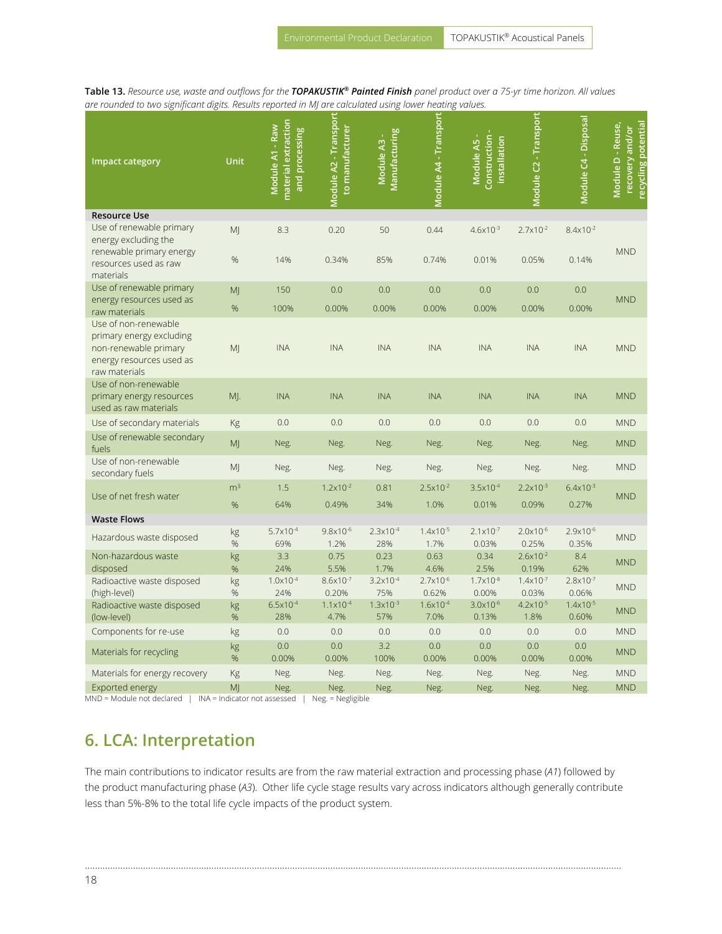**Table 13.** *Resource use, waste and outflows for the TOPAKUSTIK® Painted Finish panel product over a 75-yr time horizon. All values are rounded to two significant digits. Results reported in MJ are calculated using lower heating values.*

| Impact category                                   | Unit           | material extraction<br>Module A1 - Raw<br>and processing | Module A2 - Transport<br>to manufacturer | Manufacturing<br>Module A3 - | Module A4 - Transport | Module A5 -<br>Construction<br>installation | Module C2 - Transport  | Module C4 - Disposal | ecycling potential<br>Module D - Reuse,<br>recovery and/or |
|---------------------------------------------------|----------------|----------------------------------------------------------|------------------------------------------|------------------------------|-----------------------|---------------------------------------------|------------------------|----------------------|------------------------------------------------------------|
| <b>Resource Use</b>                               |                |                                                          |                                          |                              |                       |                                             |                        |                      |                                                            |
| Use of renewable primary                          | M              | 8.3                                                      | 0.20                                     | 50                           | 0.44                  | $4.6x10^{-3}$                               | $2.7x10^{-2}$          | $8.4x10^{-2}$        |                                                            |
| energy excluding the<br>renewable primary energy  |                |                                                          |                                          |                              |                       |                                             |                        |                      | <b>MND</b>                                                 |
| resources used as raw                             | %              | 14%                                                      | 0.34%                                    | 85%                          | 0.74%                 | 0.01%                                       | 0.05%                  | 0.14%                |                                                            |
| materials                                         |                |                                                          |                                          |                              |                       |                                             |                        |                      |                                                            |
| Use of renewable primary                          | MJ             | 150                                                      | 0.0                                      | 0.0                          | 0.0                   | 0.0                                         | 0.0                    | 0.0                  |                                                            |
| energy resources used as                          | %              | 100%                                                     | 0.00%                                    | 0.00%                        | 0.00%                 | 0.00%                                       | 0.00%                  | 0.00%                | <b>MND</b>                                                 |
| raw materials<br>Use of non-renewable             |                |                                                          |                                          |                              |                       |                                             |                        |                      |                                                            |
| primary energy excluding                          |                |                                                          |                                          |                              |                       |                                             |                        |                      |                                                            |
| non-renewable primary                             | M <sub>l</sub> | <b>INA</b>                                               | <b>INA</b>                               | <b>INA</b>                   | <b>INA</b>            | <b>INA</b>                                  | <b>INA</b>             | <b>INA</b>           | <b>MND</b>                                                 |
| energy resources used as                          |                |                                                          |                                          |                              |                       |                                             |                        |                      |                                                            |
| raw materials                                     |                |                                                          |                                          |                              |                       |                                             |                        |                      |                                                            |
| Use of non-renewable                              |                |                                                          |                                          | <b>INA</b>                   |                       |                                             |                        |                      | <b>MND</b>                                                 |
| primary energy resources<br>used as raw materials | MJ.            | <b>INA</b>                                               | <b>INA</b>                               |                              | <b>INA</b>            | <b>INA</b>                                  | <b>INA</b>             | <b>INA</b>           |                                                            |
| Use of secondary materials                        | Kg             | 0.0                                                      | 0.0                                      | 0.0                          | 0.0                   | 0.0                                         | 0.0                    | 0.0                  | <b>MND</b>                                                 |
| Use of renewable secondary                        |                |                                                          |                                          |                              |                       |                                             |                        |                      |                                                            |
| fuels                                             | MJ             | Neg.                                                     | Neg.                                     | Neg.                         | Neg.                  | Neg.                                        | Neg.                   | Neg.                 | <b>MND</b>                                                 |
| Use of non-renewable                              | MJ             | Neg.                                                     | Neg.                                     | Neg.                         | Neg.                  | Neg.                                        | Neg.                   | Neg.                 | <b>MND</b>                                                 |
| secondary fuels                                   |                |                                                          |                                          |                              |                       |                                             |                        |                      |                                                            |
| Use of net fresh water                            | m <sup>3</sup> | 1.5                                                      | $1.2 \times 10^{-2}$                     | 0.81                         | $2.5x10^{-2}$         | $3.5x10^{-4}$                               | $2.2 \times 10^{-3}$   | $6.4x10^{-3}$        | <b>MND</b>                                                 |
|                                                   | %              | 64%                                                      | 0.49%                                    | 34%                          | 1.0%                  | 0.01%                                       | 0.09%                  | 0.27%                |                                                            |
| <b>Waste Flows</b>                                |                |                                                          |                                          |                              |                       |                                             |                        |                      |                                                            |
| Hazardous waste disposed                          | kg             | $5.7x10^{-4}$                                            | $9.8x10^{-6}$                            | $2.3x10^{-4}$                | $1.4x10^{-5}$         | $2.1 \times 10^{-7}$                        | $2.0x10^{-6}$          | 2.9x10-6             | <b>MND</b>                                                 |
| Non-hazardous waste                               | %<br>kg        | 69%<br>3.3                                               | 1.2%<br>0.75                             | 28%<br>0.23                  | 1.7%<br>0.63          | 0.03%<br>0.34                               | 0.25%<br>$2.6x10^{-2}$ | 0.35%<br>8.4         |                                                            |
| disposed                                          | %              | 24%                                                      | 5.5%                                     | 1.7%                         | 4.6%                  | 2.5%                                        | 0.19%                  | 62%                  | <b>MND</b>                                                 |
| Radioactive waste disposed                        | kg             | $1.0x10^{-4}$                                            | $8.6x10^{-7}$                            | $3.2 \times 10^{-4}$         | $2.7x10^{-6}$         | $1.7 \times 10^{-8}$                        | $1.4x10^{-7}$          | $2.8 \times 10^{-7}$ |                                                            |
| (high-level)                                      | %              | 24%                                                      | 0.20%                                    | 75%                          | 0.62%                 | 0.00%                                       | 0.03%                  | 0.06%                | <b>MND</b>                                                 |
| Radioactive waste disposed                        | kg             | $6.5x10^{-4}$                                            | $1.1 \times 10^{-4}$                     | $1.3 \times 10^{-3}$         | $1.6x10^{-4}$         | $3.0x10^{-6}$                               | $4.2x10^{-5}$          | $1.4x10^{-5}$        | <b>MND</b>                                                 |
| (low-level)                                       | %              | 28%                                                      | 4.7%                                     | 57%                          | 7.0%                  | 0.13%                                       | 1.8%                   | 0.60%                |                                                            |
| Components for re-use                             | kg             | 0.0                                                      | 0.0                                      | 0.0                          | 0.0                   | 0.0                                         | 0.0                    | 0.0                  | <b>MND</b>                                                 |
| Materials for recycling                           | kg             | 0.0                                                      | 0.0                                      | 3.2                          | 0.0                   | 0.0                                         | 0.0                    | 0.0                  | <b>MND</b>                                                 |
|                                                   | %              | 0.00%                                                    | 0.00%                                    | 100%                         | 0.00%                 | 0.00%                                       | 0.00%                  | 0.00%                |                                                            |
| Materials for energy recovery                     | Kg             | Neg.                                                     | Neg.                                     | Neg.                         | Neg.                  | Neg.                                        | Neg.                   | Neg.                 | <b>MND</b>                                                 |
| Exported energy<br>1 <sub>1</sub> <sub>1</sub>    | M              | Neg.                                                     | Neg.                                     | Neg.                         | Neg.                  | Neg.                                        | Neg.                   | Neg.                 | <b>MND</b>                                                 |

MND = Module not declared | INA = Indicator not assessed | Neg. = Negligible

### **6. LCA: Interpretation**

The main contributions to indicator results are from the raw material extraction and processing phase (*A1*) followed by the product manufacturing phase (*A3*). Other life cycle stage results vary across indicators although generally contribute less than 5%-8% to the total life cycle impacts of the product system.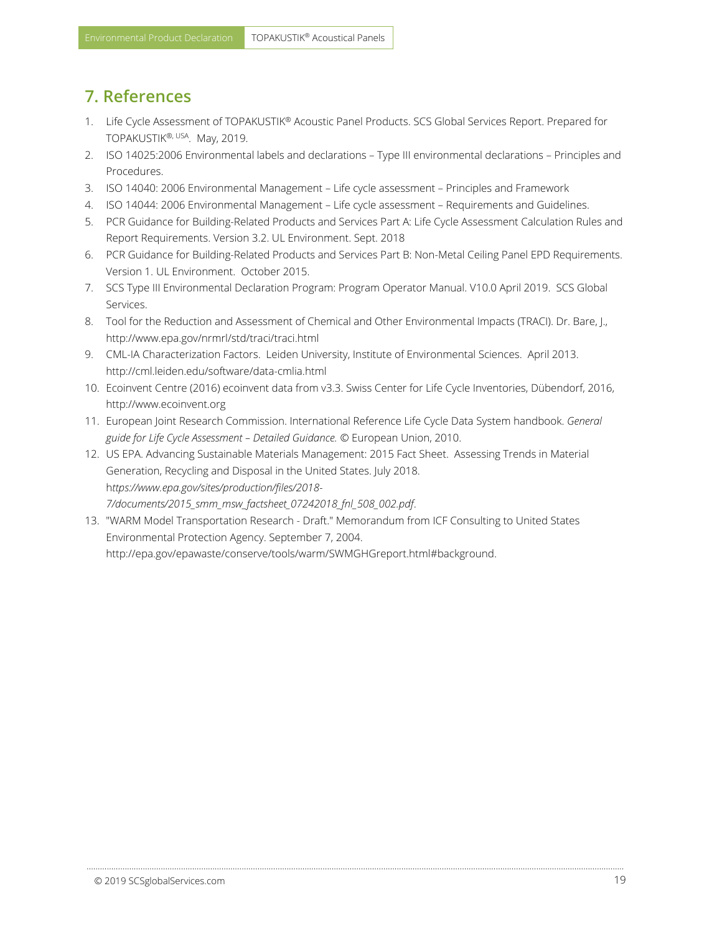### <span id="page-18-0"></span>**7. References**

- 1. Life Cycle Assessment of TOPAKUSTIK® Acoustic Panel Products. SCS Global Services Report. Prepared for TOPAKUSTIK®<sup>, USA</sup>. May, 2019.
- 2. ISO 14025:2006 Environmental labels and declarations Type III environmental declarations Principles and Procedures.
- 3. ISO 14040: 2006 Environmental Management Life cycle assessment Principles and Framework
- 4. ISO 14044: 2006 Environmental Management Life cycle assessment Requirements and Guidelines.
- 5. PCR Guidance for Building-Related Products and Services Part A: Life Cycle Assessment Calculation Rules and Report Requirements. Version 3.2. UL Environment. Sept. 2018
- 6. PCR Guidance for Building-Related Products and Services Part B: Non-Metal Ceiling Panel EPD Requirements. Version 1. UL Environment. October 2015.
- 7. SCS Type III Environmental Declaration Program: Program Operator Manual. V10.0 April 2019. SCS Global Services.
- 8. Tool for the Reduction and Assessment of Chemical and Other Environmental Impacts (TRACI). Dr. Bare, J., http://www.epa.gov/nrmrl/std/traci/traci.html
- 9. CML-IA Characterization Factors. Leiden University, Institute of Environmental Sciences. April 2013. <http://cml.leiden.edu/software/data-cmlia.html>
- 10. Ecoinvent Centre (2016) ecoinvent data from v3.3. Swiss Center for Life Cycle Inventories, Dübendorf, 2016, http://www.ecoinvent.org
- 11. European Joint Research Commission. International Reference Life Cycle Data System handbook. *General guide for Life Cycle Assessment – Detailed Guidance.* © European Union, 2010.
- 12. US EPA. Advancing Sustainable Materials Management: 2015 Fact Sheet. Assessing Trends in Material Generation, Recycling and Disposal in the United States. July 2018. h*ttps://www.epa.gov/sites/production/files/2018- 7/documents/2015\_smm\_msw\_factsheet\_07242018\_fnl\_508\_002.pdf*.
- 13. "WARM Model Transportation Research Draft." Memorandum from ICF Consulting to United States Environmental Protection Agency. September 7, 2004. http://epa.gov/epawaste/conserve/tools/warm/SWMGHGreport.html#background.

………………………………………………………………………………………………..…………………………………………………………………………………………………………………

© 2019 SCSglobalServices.com 19